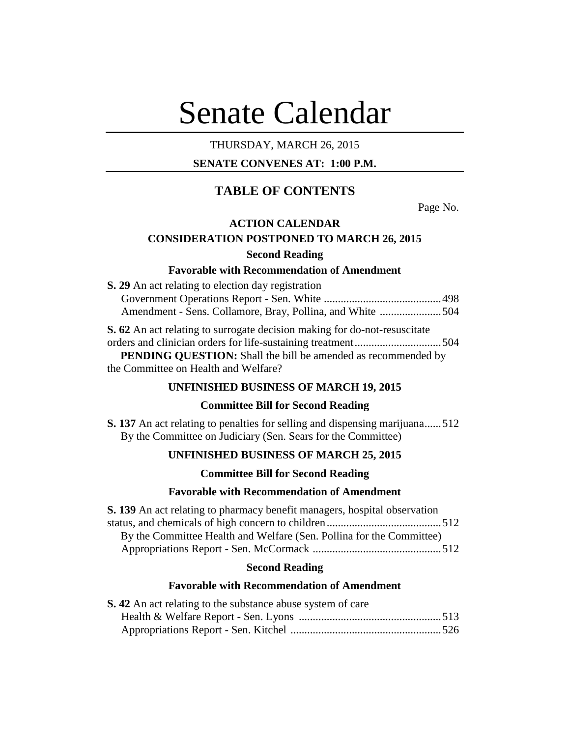# Senate Calendar

# THURSDAY, MARCH 26, 2015

# **SENATE CONVENES AT: 1:00 P.M.**

# **TABLE OF CONTENTS**

Page No.

## **ACTION CALENDAR**

# **CONSIDERATION POSTPONED TO MARCH 26, 2015 Second Reading**

## **Favorable with Recommendation of Amendment**

| S. 29 An act relating to election day registration                               |  |
|----------------------------------------------------------------------------------|--|
|                                                                                  |  |
| Amendment - Sens. Collamore, Bray, Pollina, and White 504                        |  |
| <b>S. 62</b> An act relating to surrogate decision making for do-not-resuscitate |  |
|                                                                                  |  |
| <b>PENDING QUESTION:</b> Shall the bill be amended as recommended by             |  |
| the Committee on Health and Welfare?                                             |  |

# **UNFINISHED BUSINESS OF MARCH 19, 2015**

## **Committee Bill for Second Reading**

**S. 137** An act relating to penalties for selling and dispensing marijuana......512 By the Committee on Judiciary (Sen. Sears for the Committee)

# **UNFINISHED BUSINESS OF MARCH 25, 2015**

## **Committee Bill for Second Reading**

# **Favorable with Recommendation of Amendment**

| <b>S. 139</b> An act relating to pharmacy benefit managers, hospital observation |  |
|----------------------------------------------------------------------------------|--|
|                                                                                  |  |
| By the Committee Health and Welfare (Sen. Pollina for the Committee)             |  |
|                                                                                  |  |

## **Second Reading**

# **Favorable with Recommendation of Amendment**

| <b>S.</b> 42 An act relating to the substance abuse system of care |  |
|--------------------------------------------------------------------|--|
|                                                                    |  |
|                                                                    |  |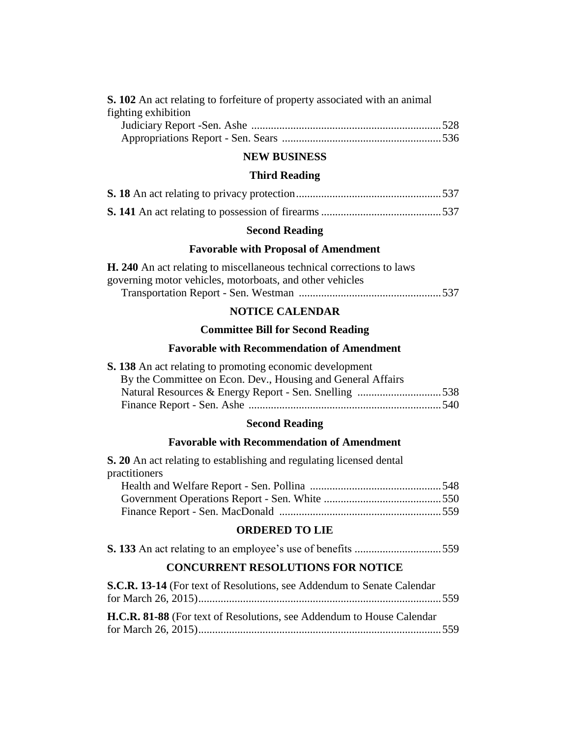| <b>S. 102</b> An act relating to forfeiture of property associated with an animal |  |
|-----------------------------------------------------------------------------------|--|
| fighting exhibition                                                               |  |

# **NEW BUSINESS**

# **Third Reading**

# **Second Reading**

# **Favorable with Proposal of Amendment**

| <b>H. 240</b> An act relating to miscellaneous technical corrections to laws |  |
|------------------------------------------------------------------------------|--|
| governing motor vehicles, motorboats, and other vehicles                     |  |
|                                                                              |  |

# **NOTICE CALENDAR**

# **Committee Bill for Second Reading**

# **Favorable with Recommendation of Amendment**

| <b>S. 138</b> An act relating to promoting economic development |  |
|-----------------------------------------------------------------|--|
| By the Committee on Econ. Dev., Housing and General Affairs     |  |
| Natural Resources & Energy Report - Sen. Snelling 538           |  |
|                                                                 |  |
|                                                                 |  |

# **Second Reading**

# **Favorable with Recommendation of Amendment**

| <b>S. 20</b> An act relating to establishing and regulating licensed dental |  |
|-----------------------------------------------------------------------------|--|
| practitioners                                                               |  |
|                                                                             |  |
|                                                                             |  |
|                                                                             |  |

# **ORDERED TO LIE**

|--|--|--|--|--|--|--|--|--|--|

# **CONCURRENT RESOLUTIONS FOR NOTICE**

| S.C.R. 13-14 (For text of Resolutions, see Addendum to Senate Calendar |  |
|------------------------------------------------------------------------|--|
|                                                                        |  |
|                                                                        |  |
| H.C.R. 81-88 (For text of Resolutions, see Addendum to House Calendar  |  |
|                                                                        |  |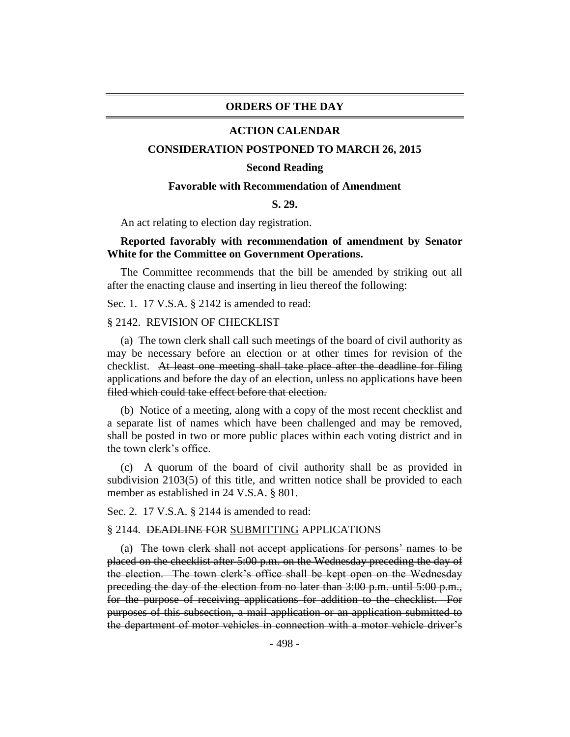## **ORDERS OF THE DAY**

## **ACTION CALENDAR**

#### **CONSIDERATION POSTPONED TO MARCH 26, 2015**

#### **Second Reading**

#### **Favorable with Recommendation of Amendment**

#### **S. 29.**

An act relating to election day registration.

# **Reported favorably with recommendation of amendment by Senator White for the Committee on Government Operations.**

The Committee recommends that the bill be amended by striking out all after the enacting clause and inserting in lieu thereof the following:

Sec. 1. 17 V.S.A. § 2142 is amended to read:

## § 2142. REVISION OF CHECKLIST

(a) The town clerk shall call such meetings of the board of civil authority as may be necessary before an election or at other times for revision of the checklist. At least one meeting shall take place after the deadline for filing applications and before the day of an election, unless no applications have been filed which could take effect before that election.

(b) Notice of a meeting, along with a copy of the most recent checklist and a separate list of names which have been challenged and may be removed, shall be posted in two or more public places within each voting district and in the town clerk's office.

(c) A quorum of the board of civil authority shall be as provided in subdivision 2103(5) of this title, and written notice shall be provided to each member as established in 24 V.S.A. § 801.

Sec. 2. 17 V.S.A. § 2144 is amended to read:

## § 2144. DEADLINE FOR SUBMITTING APPLICATIONS

(a) The town clerk shall not accept applications for persons' names to be placed on the checklist after 5:00 p.m. on the Wednesday preceding the day of the election. The town clerk's office shall be kept open on the Wednesday preceding the day of the election from no later than 3:00 p.m. until 5:00 p.m., for the purpose of receiving applications for addition to the checklist. For purposes of this subsection, a mail application or an application submitted to the department of motor vehicles in connection with a motor vehicle driver's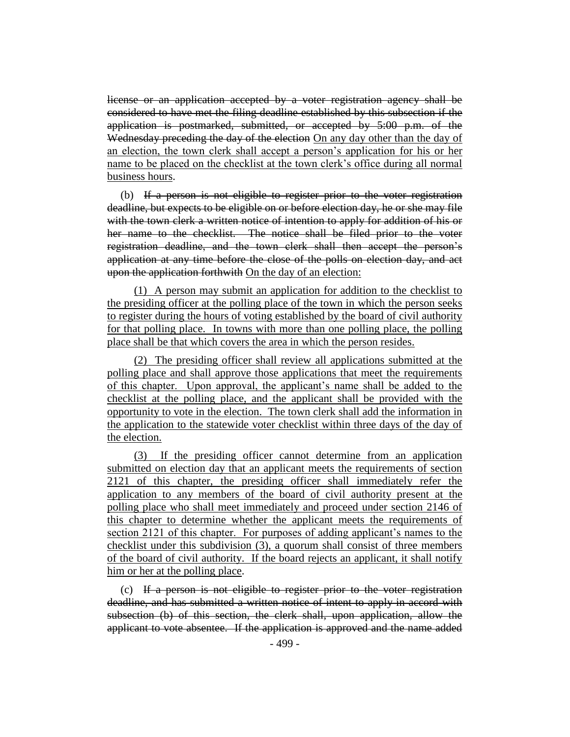license or an application accepted by a voter registration agency shall be considered to have met the filing deadline established by this subsection if the application is postmarked, submitted, or accepted by 5:00 p.m. of the Wednesday preceding the day of the election On any day other than the day of an election, the town clerk shall accept a person's application for his or her name to be placed on the checklist at the town clerk's office during all normal business hours.

(b) If a person is not eligible to register prior to the voter registration deadline, but expects to be eligible on or before election day, he or she may file with the town clerk a written notice of intention to apply for addition of his or her name to the checklist. The notice shall be filed prior to the voter registration deadline, and the town clerk shall then accept the person's application at any time before the close of the polls on election day, and act upon the application forthwith On the day of an election:

(1) A person may submit an application for addition to the checklist to the presiding officer at the polling place of the town in which the person seeks to register during the hours of voting established by the board of civil authority for that polling place. In towns with more than one polling place, the polling place shall be that which covers the area in which the person resides.

(2) The presiding officer shall review all applications submitted at the polling place and shall approve those applications that meet the requirements of this chapter. Upon approval, the applicant's name shall be added to the checklist at the polling place, and the applicant shall be provided with the opportunity to vote in the election. The town clerk shall add the information in the application to the statewide voter checklist within three days of the day of the election.

(3) If the presiding officer cannot determine from an application submitted on election day that an applicant meets the requirements of section 2121 of this chapter, the presiding officer shall immediately refer the application to any members of the board of civil authority present at the polling place who shall meet immediately and proceed under section 2146 of this chapter to determine whether the applicant meets the requirements of section 2121 of this chapter. For purposes of adding applicant's names to the checklist under this subdivision (3), a quorum shall consist of three members of the board of civil authority. If the board rejects an applicant, it shall notify him or her at the polling place.

(c) If a person is not eligible to register prior to the voter registration deadline, and has submitted a written notice of intent to apply in accord with subsection (b) of this section, the clerk shall, upon application, allow the applicant to vote absentee. If the application is approved and the name added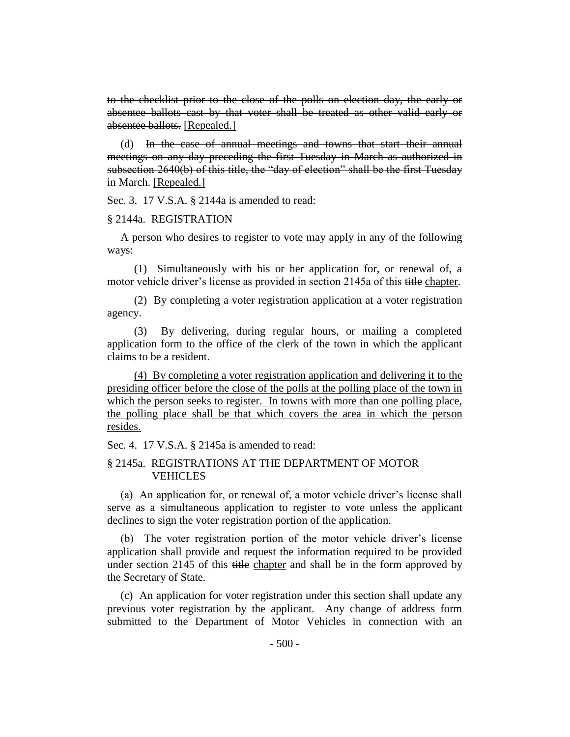to the checklist prior to the close of the polls on election day, the early or absentee ballots cast by that voter shall be treated as other valid early or absentee ballots. [Repealed.]

(d) In the case of annual meetings and towns that start their annual meetings on any day preceding the first Tuesday in March as authorized in subsection 2640(b) of this title, the "day of election" shall be the first Tuesday in March. [Repealed.]

Sec. 3. 17 V.S.A. § 2144a is amended to read:

#### § 2144a. REGISTRATION

A person who desires to register to vote may apply in any of the following ways:

(1) Simultaneously with his or her application for, or renewal of, a motor vehicle driver's license as provided in section 2145a of this title chapter.

(2) By completing a voter registration application at a voter registration agency.

(3) By delivering, during regular hours, or mailing a completed application form to the office of the clerk of the town in which the applicant claims to be a resident.

(4) By completing a voter registration application and delivering it to the presiding officer before the close of the polls at the polling place of the town in which the person seeks to register. In towns with more than one polling place, the polling place shall be that which covers the area in which the person resides.

Sec. 4. 17 V.S.A. § 2145a is amended to read:

# § 2145a. REGISTRATIONS AT THE DEPARTMENT OF MOTOR VEHICLES

(a) An application for, or renewal of, a motor vehicle driver's license shall serve as a simultaneous application to register to vote unless the applicant declines to sign the voter registration portion of the application.

(b) The voter registration portion of the motor vehicle driver's license application shall provide and request the information required to be provided under section 2145 of this title chapter and shall be in the form approved by the Secretary of State.

(c) An application for voter registration under this section shall update any previous voter registration by the applicant. Any change of address form submitted to the Department of Motor Vehicles in connection with an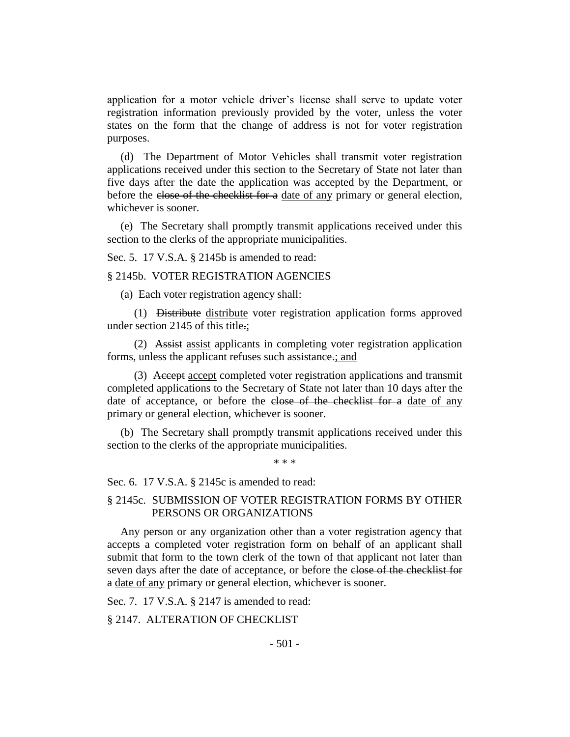application for a motor vehicle driver's license shall serve to update voter registration information previously provided by the voter, unless the voter states on the form that the change of address is not for voter registration purposes.

(d) The Department of Motor Vehicles shall transmit voter registration applications received under this section to the Secretary of State not later than five days after the date the application was accepted by the Department, or before the close of the checklist for a date of any primary or general election, whichever is sooner.

(e) The Secretary shall promptly transmit applications received under this section to the clerks of the appropriate municipalities.

Sec. 5. 17 V.S.A. § 2145b is amended to read:

§ 2145b. VOTER REGISTRATION AGENCIES

(a) Each voter registration agency shall:

(1) Distribute distribute voter registration application forms approved under section 2145 of this title.;

(2) Assist assist applicants in completing voter registration application forms, unless the applicant refuses such assistance.; and

(3) Accept accept completed voter registration applications and transmit completed applications to the Secretary of State not later than 10 days after the date of acceptance, or before the close of the checklist for a date of any primary or general election, whichever is sooner.

(b) The Secretary shall promptly transmit applications received under this section to the clerks of the appropriate municipalities.

\* \* \*

Sec. 6. 17 V.S.A. § 2145c is amended to read:

## § 2145c. SUBMISSION OF VOTER REGISTRATION FORMS BY OTHER PERSONS OR ORGANIZATIONS

Any person or any organization other than a voter registration agency that accepts a completed voter registration form on behalf of an applicant shall submit that form to the town clerk of the town of that applicant not later than seven days after the date of acceptance, or before the close of the checklist for a date of any primary or general election, whichever is sooner.

Sec. 7. 17 V.S.A. § 2147 is amended to read:

§ 2147. ALTERATION OF CHECKLIST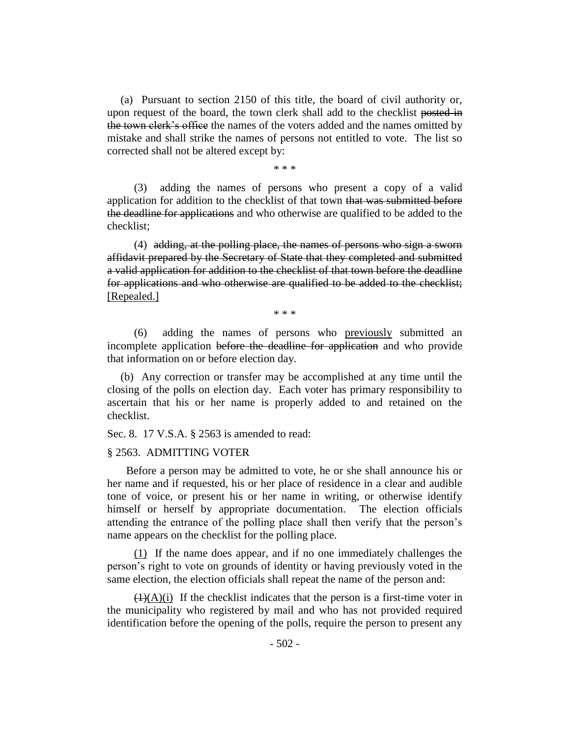(a) Pursuant to section 2150 of this title, the board of civil authority or, upon request of the board, the town clerk shall add to the checklist posted in the town clerk's office the names of the voters added and the names omitted by mistake and shall strike the names of persons not entitled to vote. The list so corrected shall not be altered except by:

\* \* \*

(3) adding the names of persons who present a copy of a valid application for addition to the checklist of that town that was submitted before the deadline for applications and who otherwise are qualified to be added to the checklist;

(4) adding, at the polling place, the names of persons who sign a sworn affidavit prepared by the Secretary of State that they completed and submitted a valid application for addition to the checklist of that town before the deadline for applications and who otherwise are qualified to be added to the checklist; [Repealed.]

\* \* \*

(6) adding the names of persons who previously submitted an incomplete application before the deadline for application and who provide that information on or before election day.

(b) Any correction or transfer may be accomplished at any time until the closing of the polls on election day. Each voter has primary responsibility to ascertain that his or her name is properly added to and retained on the checklist.

Sec. 8. 17 V.S.A. § 2563 is amended to read:

#### § 2563. ADMITTING VOTER

 Before a person may be admitted to vote, he or she shall announce his or her name and if requested, his or her place of residence in a clear and audible tone of voice, or present his or her name in writing, or otherwise identify himself or herself by appropriate documentation. The election officials attending the entrance of the polling place shall then verify that the person's name appears on the checklist for the polling place.

(1) If the name does appear, and if no one immediately challenges the person's right to vote on grounds of identity or having previously voted in the same election, the election officials shall repeat the name of the person and:

 $(1)(A)(i)$  If the checklist indicates that the person is a first-time voter in the municipality who registered by mail and who has not provided required identification before the opening of the polls, require the person to present any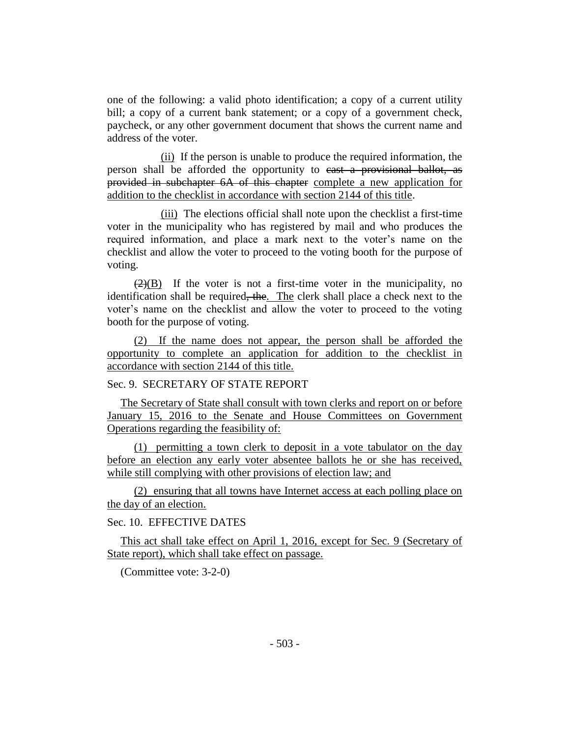one of the following: a valid photo identification; a copy of a current utility bill; a copy of a current bank statement; or a copy of a government check, paycheck, or any other government document that shows the current name and address of the voter.

(ii) If the person is unable to produce the required information, the person shall be afforded the opportunity to cast a provisional ballot, as provided in subchapter 6A of this chapter complete a new application for addition to the checklist in accordance with section 2144 of this title.

(iii) The elections official shall note upon the checklist a first-time voter in the municipality who has registered by mail and who produces the required information, and place a mark next to the voter's name on the checklist and allow the voter to proceed to the voting booth for the purpose of voting.

 $(2)(B)$  If the voter is not a first-time voter in the municipality, no identification shall be required, the. The clerk shall place a check next to the voter's name on the checklist and allow the voter to proceed to the voting booth for the purpose of voting.

(2) If the name does not appear, the person shall be afforded the opportunity to complete an application for addition to the checklist in accordance with section 2144 of this title.

Sec. 9. SECRETARY OF STATE REPORT

The Secretary of State shall consult with town clerks and report on or before January 15, 2016 to the Senate and House Committees on Government Operations regarding the feasibility of:

(1) permitting a town clerk to deposit in a vote tabulator on the day before an election any early voter absentee ballots he or she has received, while still complying with other provisions of election law; and

(2) ensuring that all towns have Internet access at each polling place on the day of an election.

Sec. 10. EFFECTIVE DATES

This act shall take effect on April 1, 2016, except for Sec. 9 (Secretary of State report), which shall take effect on passage.

(Committee vote: 3-2-0)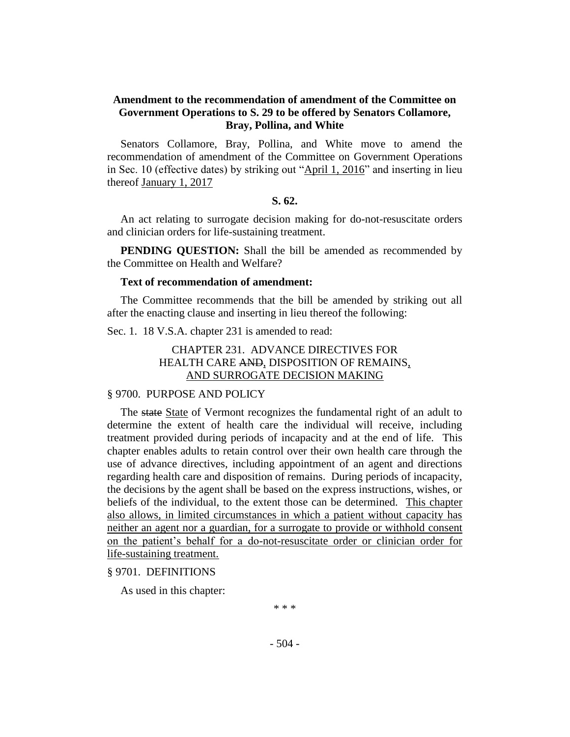# **Amendment to the recommendation of amendment of the Committee on Government Operations to S. 29 to be offered by Senators Collamore, Bray, Pollina, and White**

Senators Collamore, Bray, Pollina, and White move to amend the recommendation of amendment of the Committee on Government Operations in Sec. 10 (effective dates) by striking out "April 1, 2016" and inserting in lieu thereof January 1, 2017

## **S. 62.**

An act relating to surrogate decision making for do-not-resuscitate orders and clinician orders for life-sustaining treatment.

**PENDING QUESTION:** Shall the bill be amended as recommended by the Committee on Health and Welfare?

## **Text of recommendation of amendment:**

The Committee recommends that the bill be amended by striking out all after the enacting clause and inserting in lieu thereof the following:

Sec. 1. 18 V.S.A. chapter 231 is amended to read:

# CHAPTER 231. ADVANCE DIRECTIVES FOR HEALTH CARE AND, DISPOSITION OF REMAINS, AND SURROGATE DECISION MAKING

## § 9700. PURPOSE AND POLICY

The state State of Vermont recognizes the fundamental right of an adult to determine the extent of health care the individual will receive, including treatment provided during periods of incapacity and at the end of life. This chapter enables adults to retain control over their own health care through the use of advance directives, including appointment of an agent and directions regarding health care and disposition of remains. During periods of incapacity, the decisions by the agent shall be based on the express instructions, wishes, or beliefs of the individual, to the extent those can be determined. This chapter also allows, in limited circumstances in which a patient without capacity has neither an agent nor a guardian, for a surrogate to provide or withhold consent on the patient's behalf for a do-not-resuscitate order or clinician order for life-sustaining treatment.

§ 9701. DEFINITIONS

As used in this chapter:

\* \* \*

- 504 -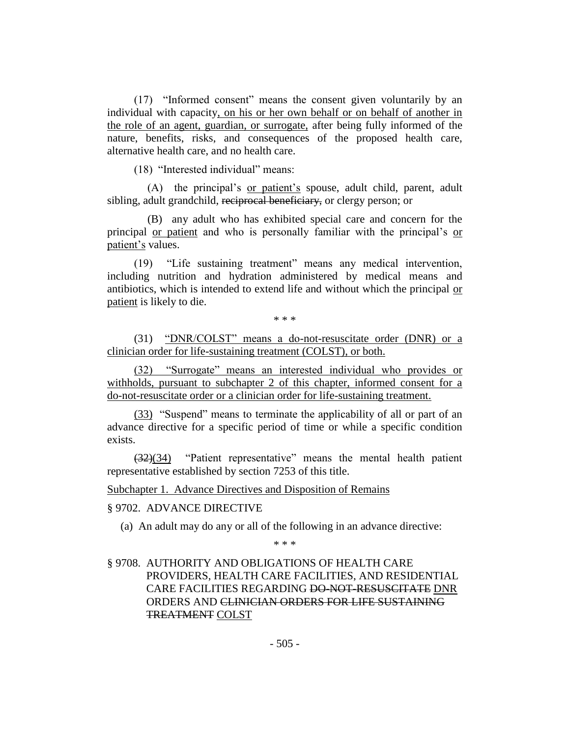(17) "Informed consent" means the consent given voluntarily by an individual with capacity, on his or her own behalf or on behalf of another in the role of an agent, guardian, or surrogate, after being fully informed of the nature, benefits, risks, and consequences of the proposed health care, alternative health care, and no health care.

(18) "Interested individual" means:

(A) the principal's or patient's spouse, adult child, parent, adult sibling, adult grandchild, reciprocal beneficiary, or clergy person; or

(B) any adult who has exhibited special care and concern for the principal or patient and who is personally familiar with the principal's or patient's values.

(19) "Life sustaining treatment" means any medical intervention, including nutrition and hydration administered by medical means and antibiotics, which is intended to extend life and without which the principal or patient is likely to die.

\* \* \*

(31) "DNR/COLST" means a do-not-resuscitate order (DNR) or a clinician order for life-sustaining treatment (COLST), or both.

(32) "Surrogate" means an interested individual who provides or withholds, pursuant to subchapter 2 of this chapter, informed consent for a do-not-resuscitate order or a clinician order for life-sustaining treatment.

(33) "Suspend" means to terminate the applicability of all or part of an advance directive for a specific period of time or while a specific condition exists.

(32)(34) "Patient representative" means the mental health patient representative established by section 7253 of this title.

Subchapter 1. Advance Directives and Disposition of Remains

## § 9702. ADVANCE DIRECTIVE

(a) An adult may do any or all of the following in an advance directive:

\* \* \*

# § 9708. AUTHORITY AND OBLIGATIONS OF HEALTH CARE PROVIDERS, HEALTH CARE FACILITIES, AND RESIDENTIAL CARE FACILITIES REGARDING DO-NOT-RESUSCITATE DNR ORDERS AND CLINICIAN ORDERS FOR LIFE SUSTAINING TREATMENT COLST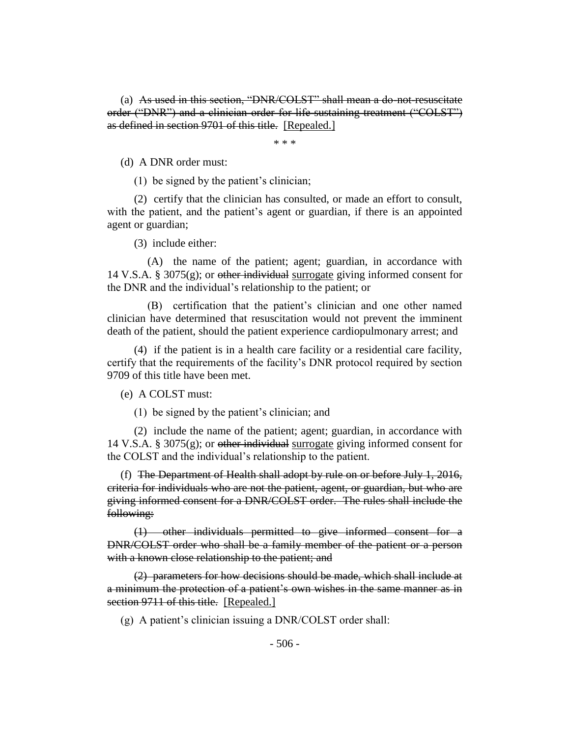(a) As used in this section, "DNR/COLST" shall mean a do-not-resuscitate order ("DNR") and a clinician order for life-sustaining treatment ("COLST") as defined in section 9701 of this title. [Repealed.]

\* \* \*

(d) A DNR order must:

(1) be signed by the patient's clinician;

(2) certify that the clinician has consulted, or made an effort to consult, with the patient, and the patient's agent or guardian, if there is an appointed agent or guardian;

(3) include either:

(A) the name of the patient; agent; guardian, in accordance with 14 V.S.A. § 3075 $(g)$ ; or other individual surrogate giving informed consent for the DNR and the individual's relationship to the patient; or

(B) certification that the patient's clinician and one other named clinician have determined that resuscitation would not prevent the imminent death of the patient, should the patient experience cardiopulmonary arrest; and

(4) if the patient is in a health care facility or a residential care facility, certify that the requirements of the facility's DNR protocol required by section 9709 of this title have been met.

(e) A COLST must:

(1) be signed by the patient's clinician; and

(2) include the name of the patient; agent; guardian, in accordance with 14 V.S.A. § 3075(g); or other individual surrogate giving informed consent for the COLST and the individual's relationship to the patient.

(f) The Department of Health shall adopt by rule on or before July 1, 2016, criteria for individuals who are not the patient, agent, or guardian, but who are giving informed consent for a DNR/COLST order. The rules shall include the following:

(1) other individuals permitted to give informed consent for a DNR/COLST order who shall be a family member of the patient or a person with a known close relationship to the patient; and

(2) parameters for how decisions should be made, which shall include at a minimum the protection of a patient's own wishes in the same manner as in section 9711 of this title. [Repealed.]

(g) A patient's clinician issuing a DNR/COLST order shall: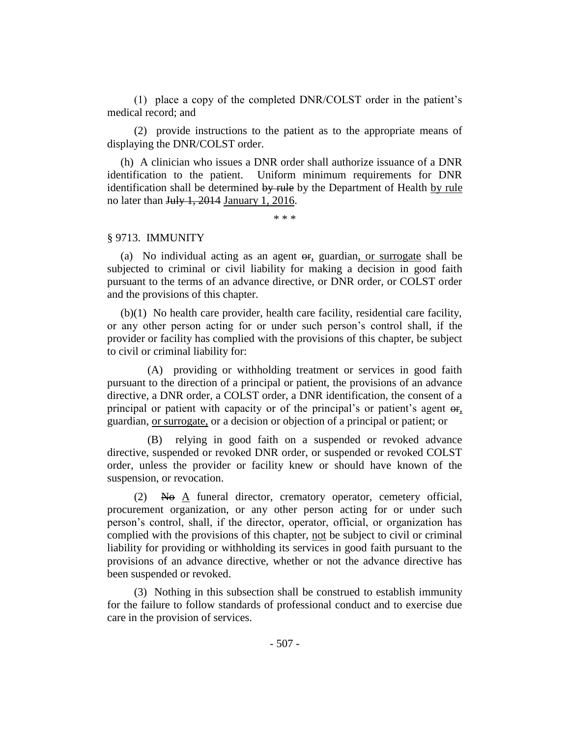(1) place a copy of the completed DNR/COLST order in the patient's medical record; and

(2) provide instructions to the patient as to the appropriate means of displaying the DNR/COLST order.

(h) A clinician who issues a DNR order shall authorize issuance of a DNR identification to the patient. Uniform minimum requirements for DNR identification shall be determined by rule by the Department of Health by rule no later than July 1, 2014 January 1, 2016.

\* \* \*

#### § 9713. IMMUNITY

(a) No individual acting as an agent  $\Theta$ , guardian, or surrogate shall be subjected to criminal or civil liability for making a decision in good faith pursuant to the terms of an advance directive, or DNR order, or COLST order and the provisions of this chapter.

(b)(1) No health care provider, health care facility, residential care facility, or any other person acting for or under such person's control shall, if the provider or facility has complied with the provisions of this chapter, be subject to civil or criminal liability for:

(A) providing or withholding treatment or services in good faith pursuant to the direction of a principal or patient, the provisions of an advance directive, a DNR order, a COLST order, a DNR identification, the consent of a principal or patient with capacity or of the principal's or patient's agent  $\Theta$ . guardian, or surrogate, or a decision or objection of a principal or patient; or

(B) relying in good faith on a suspended or revoked advance directive, suspended or revoked DNR order, or suspended or revoked COLST order, unless the provider or facility knew or should have known of the suspension, or revocation.

 $(2)$  No A funeral director, crematory operator, cemetery official, procurement organization, or any other person acting for or under such person's control, shall, if the director, operator, official, or organization has complied with the provisions of this chapter, not be subject to civil or criminal liability for providing or withholding its services in good faith pursuant to the provisions of an advance directive, whether or not the advance directive has been suspended or revoked.

(3) Nothing in this subsection shall be construed to establish immunity for the failure to follow standards of professional conduct and to exercise due care in the provision of services.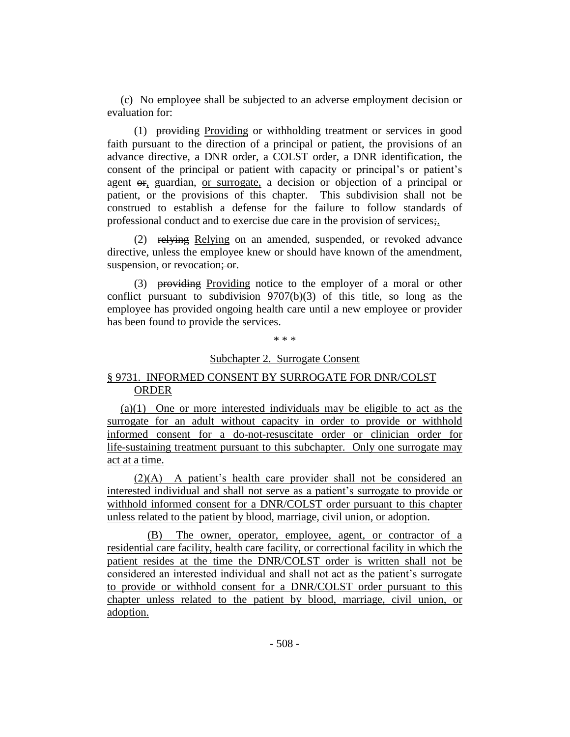(c) No employee shall be subjected to an adverse employment decision or evaluation for:

(1) providing Providing or withholding treatment or services in good faith pursuant to the direction of a principal or patient, the provisions of an advance directive, a DNR order, a COLST order, a DNR identification, the consent of the principal or patient with capacity or principal's or patient's agent or, guardian, or surrogate, a decision or objection of a principal or patient, or the provisions of this chapter. This subdivision shall not be construed to establish a defense for the failure to follow standards of professional conduct and to exercise due care in the provision of services;.

(2) relying Relying on an amended, suspended, or revoked advance directive, unless the employee knew or should have known of the amendment, suspension, or revocation; or.

(3) providing Providing notice to the employer of a moral or other conflict pursuant to subdivision  $9707(b)(3)$  of this title, so long as the employee has provided ongoing health care until a new employee or provider has been found to provide the services.

\* \* \*

## Subchapter 2. Surrogate Consent

# § 9731. INFORMED CONSENT BY SURROGATE FOR DNR/COLST ORDER

(a)(1) One or more interested individuals may be eligible to act as the surrogate for an adult without capacity in order to provide or withhold informed consent for a do-not-resuscitate order or clinician order for life-sustaining treatment pursuant to this subchapter. Only one surrogate may act at a time.

(2)(A) A patient's health care provider shall not be considered an interested individual and shall not serve as a patient's surrogate to provide or withhold informed consent for a DNR/COLST order pursuant to this chapter unless related to the patient by blood, marriage, civil union, or adoption.

(B) The owner, operator, employee, agent, or contractor of a residential care facility, health care facility, or correctional facility in which the patient resides at the time the DNR/COLST order is written shall not be considered an interested individual and shall not act as the patient's surrogate to provide or withhold consent for a DNR/COLST order pursuant to this chapter unless related to the patient by blood, marriage, civil union, or adoption.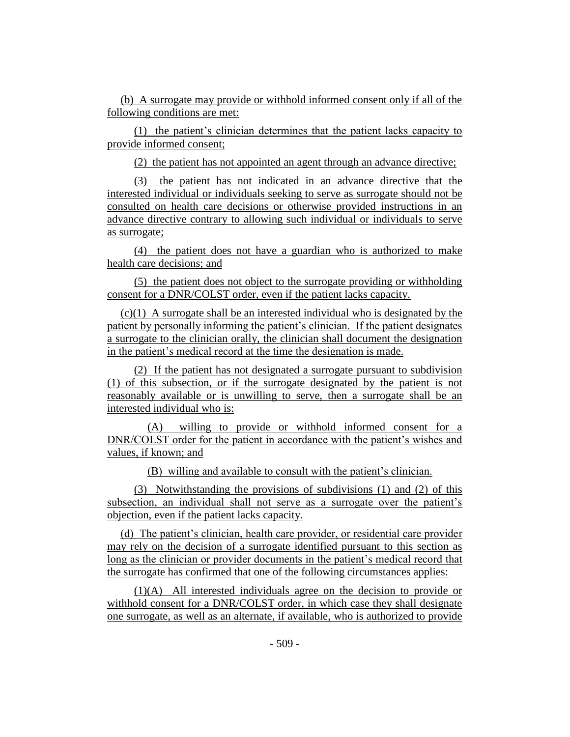(b) A surrogate may provide or withhold informed consent only if all of the following conditions are met:

(1) the patient's clinician determines that the patient lacks capacity to provide informed consent;

(2) the patient has not appointed an agent through an advance directive;

(3) the patient has not indicated in an advance directive that the interested individual or individuals seeking to serve as surrogate should not be consulted on health care decisions or otherwise provided instructions in an advance directive contrary to allowing such individual or individuals to serve as surrogate;

(4) the patient does not have a guardian who is authorized to make health care decisions; and

(5) the patient does not object to the surrogate providing or withholding consent for a DNR/COLST order, even if the patient lacks capacity.

(c)(1) A surrogate shall be an interested individual who is designated by the patient by personally informing the patient's clinician. If the patient designates a surrogate to the clinician orally, the clinician shall document the designation in the patient's medical record at the time the designation is made.

(2) If the patient has not designated a surrogate pursuant to subdivision (1) of this subsection, or if the surrogate designated by the patient is not reasonably available or is unwilling to serve, then a surrogate shall be an interested individual who is:

(A) willing to provide or withhold informed consent for a DNR/COLST order for the patient in accordance with the patient's wishes and values, if known; and

(B) willing and available to consult with the patient's clinician.

(3) Notwithstanding the provisions of subdivisions (1) and (2) of this subsection, an individual shall not serve as a surrogate over the patient's objection, even if the patient lacks capacity.

(d) The patient's clinician, health care provider, or residential care provider may rely on the decision of a surrogate identified pursuant to this section as long as the clinician or provider documents in the patient's medical record that the surrogate has confirmed that one of the following circumstances applies:

(1)(A) All interested individuals agree on the decision to provide or withhold consent for a DNR/COLST order, in which case they shall designate one surrogate, as well as an alternate, if available, who is authorized to provide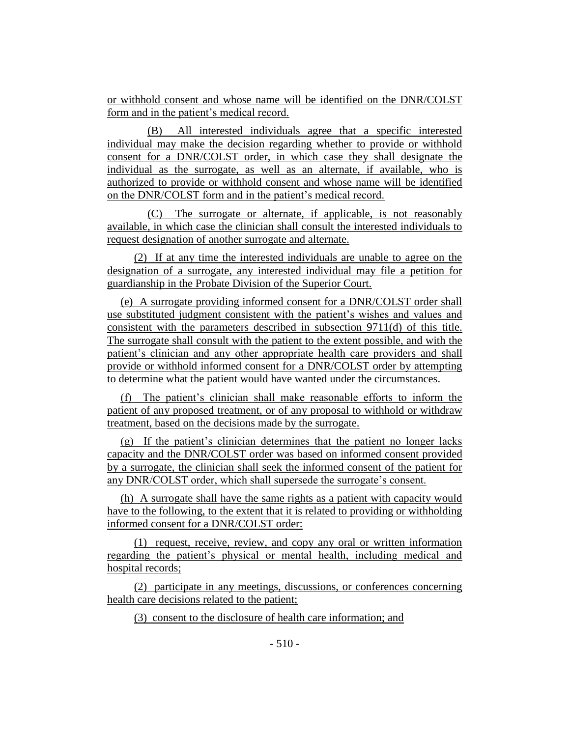or withhold consent and whose name will be identified on the DNR/COLST form and in the patient's medical record.

(B) All interested individuals agree that a specific interested individual may make the decision regarding whether to provide or withhold consent for a DNR/COLST order, in which case they shall designate the individual as the surrogate, as well as an alternate, if available, who is authorized to provide or withhold consent and whose name will be identified on the DNR/COLST form and in the patient's medical record.

(C) The surrogate or alternate, if applicable, is not reasonably available, in which case the clinician shall consult the interested individuals to request designation of another surrogate and alternate.

(2) If at any time the interested individuals are unable to agree on the designation of a surrogate, any interested individual may file a petition for guardianship in the Probate Division of the Superior Court.

(e) A surrogate providing informed consent for a DNR/COLST order shall use substituted judgment consistent with the patient's wishes and values and consistent with the parameters described in subsection 9711(d) of this title. The surrogate shall consult with the patient to the extent possible, and with the patient's clinician and any other appropriate health care providers and shall provide or withhold informed consent for a DNR/COLST order by attempting to determine what the patient would have wanted under the circumstances.

(f) The patient's clinician shall make reasonable efforts to inform the patient of any proposed treatment, or of any proposal to withhold or withdraw treatment, based on the decisions made by the surrogate.

(g) If the patient's clinician determines that the patient no longer lacks capacity and the DNR/COLST order was based on informed consent provided by a surrogate, the clinician shall seek the informed consent of the patient for any DNR/COLST order, which shall supersede the surrogate's consent.

(h) A surrogate shall have the same rights as a patient with capacity would have to the following, to the extent that it is related to providing or withholding informed consent for a DNR/COLST order:

(1) request, receive, review, and copy any oral or written information regarding the patient's physical or mental health, including medical and hospital records;

(2) participate in any meetings, discussions, or conferences concerning health care decisions related to the patient;

(3) consent to the disclosure of health care information; and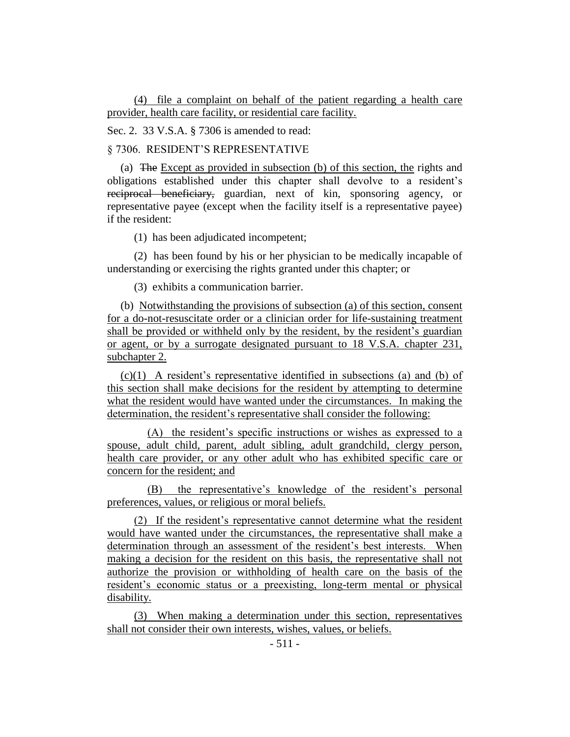(4) file a complaint on behalf of the patient regarding a health care provider, health care facility, or residential care facility.

Sec. 2. 33 V.S.A. § 7306 is amended to read:

§ 7306. RESIDENT'S REPRESENTATIVE

(a) The Except as provided in subsection (b) of this section, the rights and obligations established under this chapter shall devolve to a resident's reciprocal beneficiary, guardian, next of kin, sponsoring agency, or representative payee (except when the facility itself is a representative payee) if the resident:

(1) has been adjudicated incompetent;

(2) has been found by his or her physician to be medically incapable of understanding or exercising the rights granted under this chapter; or

(3) exhibits a communication barrier.

(b) Notwithstanding the provisions of subsection (a) of this section, consent for a do-not-resuscitate order or a clinician order for life-sustaining treatment shall be provided or withheld only by the resident, by the resident's guardian or agent, or by a surrogate designated pursuant to 18 V.S.A. chapter 231, subchapter 2.

(c)(1) A resident's representative identified in subsections (a) and (b) of this section shall make decisions for the resident by attempting to determine what the resident would have wanted under the circumstances. In making the determination, the resident's representative shall consider the following:

(A) the resident's specific instructions or wishes as expressed to a spouse, adult child, parent, adult sibling, adult grandchild, clergy person, health care provider, or any other adult who has exhibited specific care or concern for the resident; and

(B) the representative's knowledge of the resident's personal preferences, values, or religious or moral beliefs.

(2) If the resident's representative cannot determine what the resident would have wanted under the circumstances, the representative shall make a determination through an assessment of the resident's best interests. When making a decision for the resident on this basis, the representative shall not authorize the provision or withholding of health care on the basis of the resident's economic status or a preexisting, long-term mental or physical disability.

(3) When making a determination under this section, representatives shall not consider their own interests, wishes, values, or beliefs.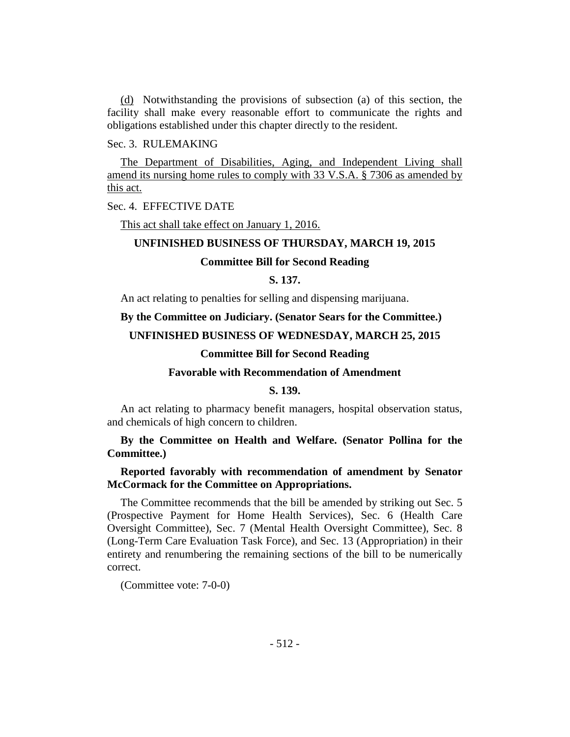(d) Notwithstanding the provisions of subsection (a) of this section, the facility shall make every reasonable effort to communicate the rights and obligations established under this chapter directly to the resident.

## Sec. 3. RULEMAKING

The Department of Disabilities, Aging, and Independent Living shall amend its nursing home rules to comply with 33 V.S.A. § 7306 as amended by this act.

Sec. 4. EFFECTIVE DATE

This act shall take effect on January 1, 2016.

## **UNFINISHED BUSINESS OF THURSDAY, MARCH 19, 2015**

## **Committee Bill for Second Reading**

## **S. 137.**

An act relating to penalties for selling and dispensing marijuana.

# **By the Committee on Judiciary. (Senator Sears for the Committee.)**

# **UNFINISHED BUSINESS OF WEDNESDAY, MARCH 25, 2015**

## **Committee Bill for Second Reading**

## **Favorable with Recommendation of Amendment**

## **S. 139.**

An act relating to pharmacy benefit managers, hospital observation status, and chemicals of high concern to children.

# **By the Committee on Health and Welfare. (Senator Pollina for the Committee.)**

# **Reported favorably with recommendation of amendment by Senator McCormack for the Committee on Appropriations.**

The Committee recommends that the bill be amended by striking out Sec. 5 (Prospective Payment for Home Health Services), Sec. 6 (Health Care Oversight Committee), Sec. 7 (Mental Health Oversight Committee), Sec. 8 (Long-Term Care Evaluation Task Force), and Sec. 13 (Appropriation) in their entirety and renumbering the remaining sections of the bill to be numerically correct.

(Committee vote: 7-0-0)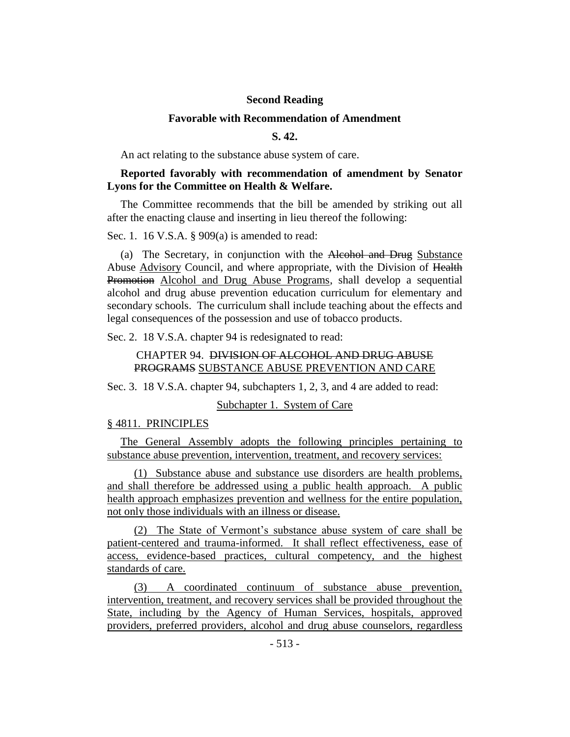## **Second Reading**

## **Favorable with Recommendation of Amendment**

## **S. 42.**

An act relating to the substance abuse system of care.

# **Reported favorably with recommendation of amendment by Senator Lyons for the Committee on Health & Welfare.**

The Committee recommends that the bill be amended by striking out all after the enacting clause and inserting in lieu thereof the following:

Sec. 1. 16 V.S.A. § 909(a) is amended to read:

(a) The Secretary, in conjunction with the Alcohol and Drug Substance Abuse Advisory Council, and where appropriate, with the Division of Health Promotion Alcohol and Drug Abuse Programs, shall develop a sequential alcohol and drug abuse prevention education curriculum for elementary and secondary schools. The curriculum shall include teaching about the effects and legal consequences of the possession and use of tobacco products.

Sec. 2. 18 V.S.A. chapter 94 is redesignated to read:

# CHAPTER 94. DIVISION OF ALCOHOL AND DRUG ABUSE PROGRAMS SUBSTANCE ABUSE PREVENTION AND CARE

Sec. 3. 18 V.S.A. chapter 94, subchapters 1, 2, 3, and 4 are added to read:

Subchapter 1. System of Care

#### § 4811. PRINCIPLES

The General Assembly adopts the following principles pertaining to substance abuse prevention, intervention, treatment, and recovery services:

(1) Substance abuse and substance use disorders are health problems, and shall therefore be addressed using a public health approach. A public health approach emphasizes prevention and wellness for the entire population, not only those individuals with an illness or disease.

(2) The State of Vermont's substance abuse system of care shall be patient-centered and trauma-informed. It shall reflect effectiveness, ease of access, evidence-based practices, cultural competency, and the highest standards of care.

(3) A coordinated continuum of substance abuse prevention, intervention, treatment, and recovery services shall be provided throughout the State, including by the Agency of Human Services, hospitals, approved providers, preferred providers, alcohol and drug abuse counselors, regardless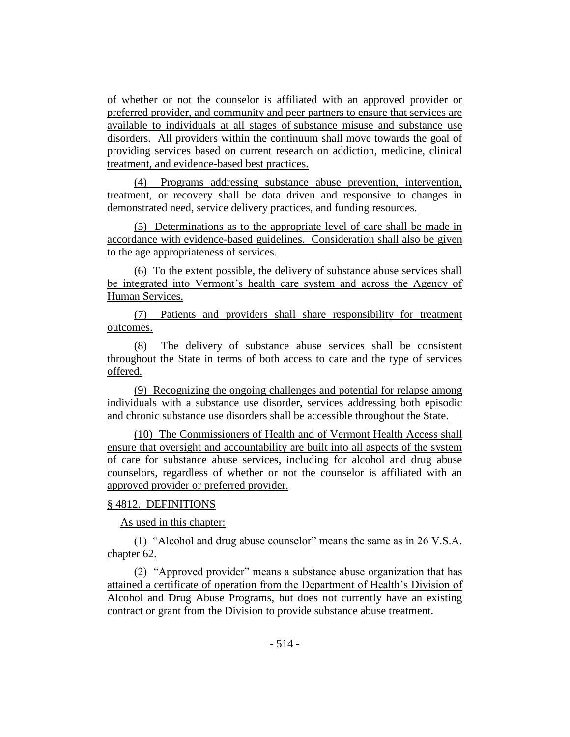of whether or not the counselor is affiliated with an approved provider or preferred provider, and community and peer partners to ensure that services are available to individuals at all stages of substance misuse and substance use disorders. All providers within the continuum shall move towards the goal of providing services based on current research on addiction, medicine, clinical treatment, and evidence-based best practices.

(4) Programs addressing substance abuse prevention, intervention, treatment, or recovery shall be data driven and responsive to changes in demonstrated need, service delivery practices, and funding resources.

(5) Determinations as to the appropriate level of care shall be made in accordance with evidence-based guidelines. Consideration shall also be given to the age appropriateness of services.

(6) To the extent possible, the delivery of substance abuse services shall be integrated into Vermont's health care system and across the Agency of Human Services.

(7) Patients and providers shall share responsibility for treatment outcomes.

(8) The delivery of substance abuse services shall be consistent throughout the State in terms of both access to care and the type of services offered.

(9) Recognizing the ongoing challenges and potential for relapse among individuals with a substance use disorder, services addressing both episodic and chronic substance use disorders shall be accessible throughout the State.

(10) The Commissioners of Health and of Vermont Health Access shall ensure that oversight and accountability are built into all aspects of the system of care for substance abuse services, including for alcohol and drug abuse counselors, regardless of whether or not the counselor is affiliated with an approved provider or preferred provider.

# § 4812. DEFINITIONS

As used in this chapter:

(1) "Alcohol and drug abuse counselor" means the same as in 26 V.S.A. chapter 62.

(2) "Approved provider" means a substance abuse organization that has attained a certificate of operation from the Department of Health's Division of Alcohol and Drug Abuse Programs, but does not currently have an existing contract or grant from the Division to provide substance abuse treatment.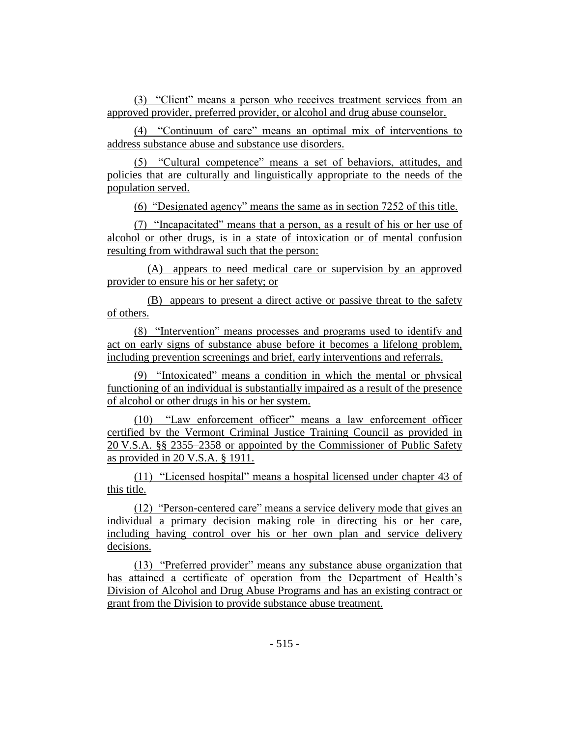(3) "Client" means a person who receives treatment services from an approved provider, preferred provider, or alcohol and drug abuse counselor.

(4) "Continuum of care" means an optimal mix of interventions to address substance abuse and substance use disorders.

(5) "Cultural competence" means a set of behaviors, attitudes, and policies that are culturally and linguistically appropriate to the needs of the population served.

(6) "Designated agency" means the same as in section 7252 of this title.

(7) "Incapacitated" means that a person, as a result of his or her use of alcohol or other drugs, is in a state of intoxication or of mental confusion resulting from withdrawal such that the person:

(A) appears to need medical care or supervision by an approved provider to ensure his or her safety; or

(B) appears to present a direct active or passive threat to the safety of others.

(8) "Intervention" means processes and programs used to identify and act on early signs of substance abuse before it becomes a lifelong problem, including prevention screenings and brief, early interventions and referrals.

(9) "Intoxicated" means a condition in which the mental or physical functioning of an individual is substantially impaired as a result of the presence of alcohol or other drugs in his or her system.

(10) "Law enforcement officer" means a law enforcement officer certified by the Vermont Criminal Justice Training Council as provided in 20 V.S.A. §§ 2355–2358 or appointed by the Commissioner of Public Safety as provided in 20 V.S.A. § 1911.

(11) "Licensed hospital" means a hospital licensed under chapter 43 of this title.

(12) "Person-centered care" means a service delivery mode that gives an individual a primary decision making role in directing his or her care, including having control over his or her own plan and service delivery decisions.

(13) "Preferred provider" means any substance abuse organization that has attained a certificate of operation from the Department of Health's Division of Alcohol and Drug Abuse Programs and has an existing contract or grant from the Division to provide substance abuse treatment.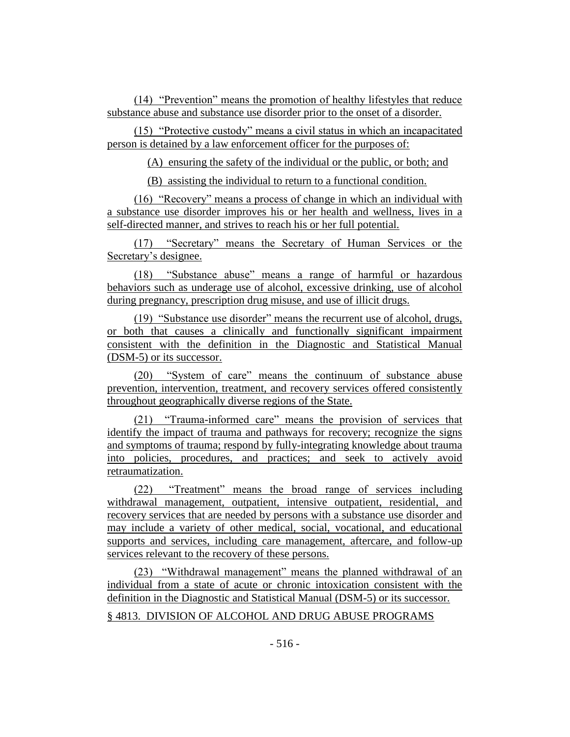(14) "Prevention" means the promotion of healthy lifestyles that reduce substance abuse and substance use disorder prior to the onset of a disorder.

(15) "Protective custody" means a civil status in which an incapacitated person is detained by a law enforcement officer for the purposes of:

(A) ensuring the safety of the individual or the public, or both; and

(B) assisting the individual to return to a functional condition.

(16) "Recovery" means a process of change in which an individual with a substance use disorder improves his or her health and wellness, lives in a self-directed manner, and strives to reach his or her full potential.

(17) "Secretary" means the Secretary of Human Services or the Secretary's designee.

(18) "Substance abuse" means a range of harmful or hazardous behaviors such as underage use of alcohol, excessive drinking, use of alcohol during pregnancy, prescription drug misuse, and use of illicit drugs.

(19) "Substance use disorder" means the recurrent use of alcohol, drugs, or both that causes a clinically and functionally significant impairment consistent with the definition in the Diagnostic and Statistical Manual (DSM-5) or its successor.

(20) "System of care" means the continuum of substance abuse prevention, intervention, treatment, and recovery services offered consistently throughout geographically diverse regions of the State.

(21) "Trauma-informed care" means the provision of services that identify the impact of trauma and pathways for recovery; recognize the signs and symptoms of trauma; respond by fully-integrating knowledge about trauma into policies, procedures, and practices; and seek to actively avoid retraumatization.

(22) "Treatment" means the broad range of services including withdrawal management, outpatient, intensive outpatient, residential, and recovery services that are needed by persons with a substance use disorder and may include a variety of other medical, social, vocational, and educational supports and services, including care management, aftercare, and follow-up services relevant to the recovery of these persons.

(23) "Withdrawal management" means the planned withdrawal of an individual from a state of acute or chronic intoxication consistent with the definition in the Diagnostic and Statistical Manual (DSM-5) or its successor.

# § 4813. DIVISION OF ALCOHOL AND DRUG ABUSE PROGRAMS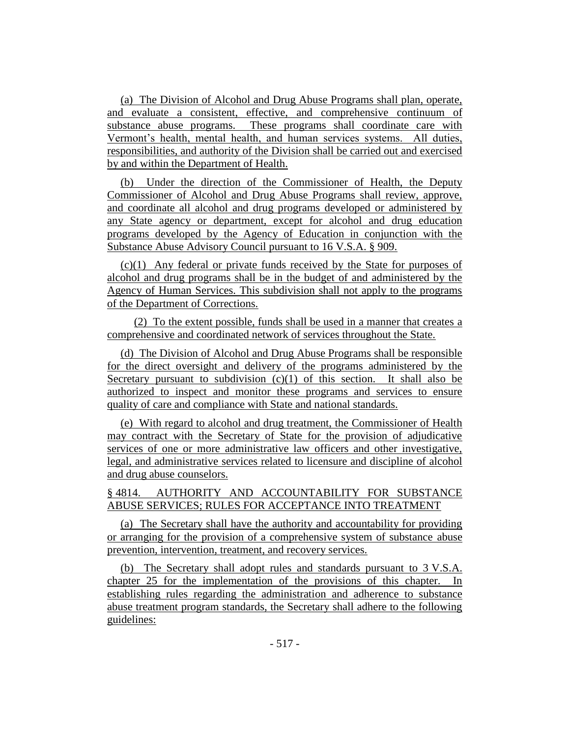(a) The Division of Alcohol and Drug Abuse Programs shall plan, operate, and evaluate a consistent, effective, and comprehensive continuum of substance abuse programs. These programs shall coordinate care with Vermont's health, mental health, and human services systems. All duties, responsibilities, and authority of the Division shall be carried out and exercised by and within the Department of Health.

(b) Under the direction of the Commissioner of Health, the Deputy Commissioner of Alcohol and Drug Abuse Programs shall review, approve, and coordinate all alcohol and drug programs developed or administered by any State agency or department, except for alcohol and drug education programs developed by the Agency of Education in conjunction with the Substance Abuse Advisory Council pursuant to 16 V.S.A. § 909.

(c)(1) Any federal or private funds received by the State for purposes of alcohol and drug programs shall be in the budget of and administered by the Agency of Human Services. This subdivision shall not apply to the programs of the Department of Corrections.

(2) To the extent possible, funds shall be used in a manner that creates a comprehensive and coordinated network of services throughout the State.

(d) The Division of Alcohol and Drug Abuse Programs shall be responsible for the direct oversight and delivery of the programs administered by the Secretary pursuant to subdivision  $(c)(1)$  of this section. It shall also be authorized to inspect and monitor these programs and services to ensure quality of care and compliance with State and national standards.

(e) With regard to alcohol and drug treatment, the Commissioner of Health may contract with the Secretary of State for the provision of adjudicative services of one or more administrative law officers and other investigative, legal, and administrative services related to licensure and discipline of alcohol and drug abuse counselors.

# § 4814. AUTHORITY AND ACCOUNTABILITY FOR SUBSTANCE ABUSE SERVICES; RULES FOR ACCEPTANCE INTO TREATMENT

(a) The Secretary shall have the authority and accountability for providing or arranging for the provision of a comprehensive system of substance abuse prevention, intervention, treatment, and recovery services.

(b) The Secretary shall adopt rules and standards pursuant to 3 V.S.A. chapter 25 for the implementation of the provisions of this chapter. In establishing rules regarding the administration and adherence to substance abuse treatment program standards, the Secretary shall adhere to the following guidelines: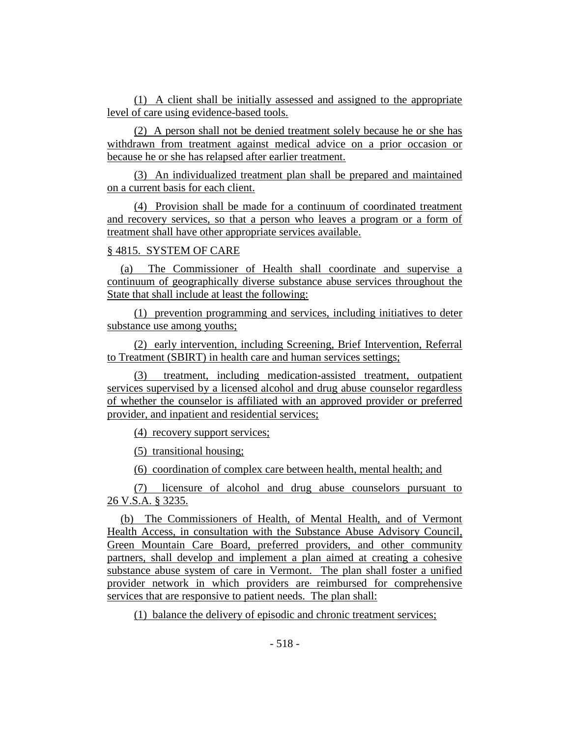(1) A client shall be initially assessed and assigned to the appropriate level of care using evidence-based tools.

(2) A person shall not be denied treatment solely because he or she has withdrawn from treatment against medical advice on a prior occasion or because he or she has relapsed after earlier treatment.

(3) An individualized treatment plan shall be prepared and maintained on a current basis for each client.

(4) Provision shall be made for a continuum of coordinated treatment and recovery services, so that a person who leaves a program or a form of treatment shall have other appropriate services available.

## § 4815. SYSTEM OF CARE

(a) The Commissioner of Health shall coordinate and supervise a continuum of geographically diverse substance abuse services throughout the State that shall include at least the following:

(1) prevention programming and services, including initiatives to deter substance use among youths;

(2) early intervention, including Screening, Brief Intervention, Referral to Treatment (SBIRT) in health care and human services settings;

(3) treatment, including medication-assisted treatment, outpatient services supervised by a licensed alcohol and drug abuse counselor regardless of whether the counselor is affiliated with an approved provider or preferred provider, and inpatient and residential services;

(4) recovery support services;

(5) transitional housing;

(6) coordination of complex care between health, mental health; and

(7) licensure of alcohol and drug abuse counselors pursuant to 26 V.S.A. § 3235.

(b) The Commissioners of Health, of Mental Health, and of Vermont Health Access, in consultation with the Substance Abuse Advisory Council, Green Mountain Care Board, preferred providers, and other community partners, shall develop and implement a plan aimed at creating a cohesive substance abuse system of care in Vermont. The plan shall foster a unified provider network in which providers are reimbursed for comprehensive services that are responsive to patient needs. The plan shall:

(1) balance the delivery of episodic and chronic treatment services;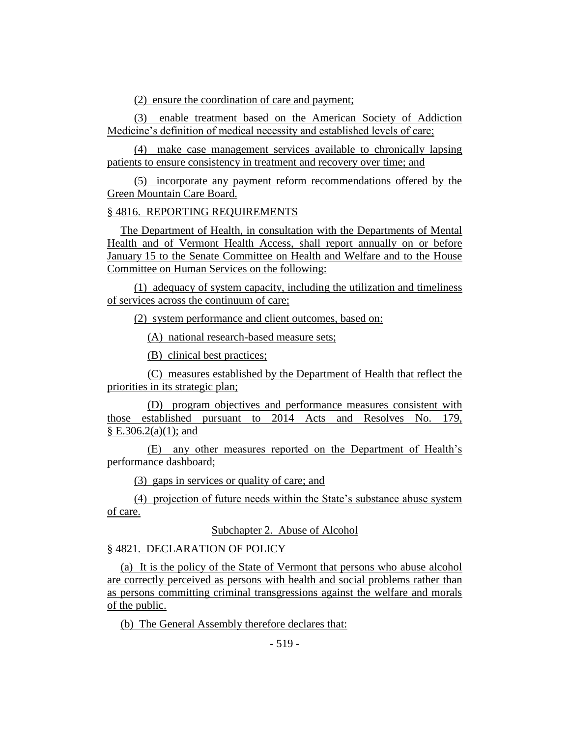(2) ensure the coordination of care and payment;

(3) enable treatment based on the American Society of Addiction Medicine's definition of medical necessity and established levels of care;

(4) make case management services available to chronically lapsing patients to ensure consistency in treatment and recovery over time; and

(5) incorporate any payment reform recommendations offered by the Green Mountain Care Board.

# § 4816. REPORTING REQUIREMENTS

The Department of Health, in consultation with the Departments of Mental Health and of Vermont Health Access, shall report annually on or before January 15 to the Senate Committee on Health and Welfare and to the House Committee on Human Services on the following:

(1) adequacy of system capacity, including the utilization and timeliness of services across the continuum of care;

(2) system performance and client outcomes, based on:

(A) national research-based measure sets;

(B) clinical best practices;

(C) measures established by the Department of Health that reflect the priorities in its strategic plan;

(D) program objectives and performance measures consistent with those established pursuant to 2014 Acts and Resolves No. 179,  $\S E.306.2(a)(1)$ ; and

(E) any other measures reported on the Department of Health's performance dashboard;

(3) gaps in services or quality of care; and

(4) projection of future needs within the State's substance abuse system of care.

Subchapter 2. Abuse of Alcohol

§ 4821. DECLARATION OF POLICY

(a) It is the policy of the State of Vermont that persons who abuse alcohol are correctly perceived as persons with health and social problems rather than as persons committing criminal transgressions against the welfare and morals of the public.

(b) The General Assembly therefore declares that: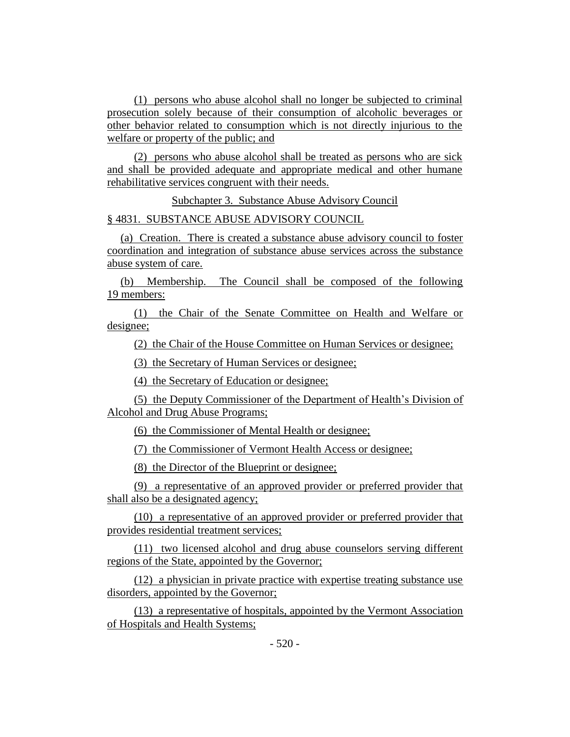(1) persons who abuse alcohol shall no longer be subjected to criminal prosecution solely because of their consumption of alcoholic beverages or other behavior related to consumption which is not directly injurious to the welfare or property of the public; and

(2) persons who abuse alcohol shall be treated as persons who are sick and shall be provided adequate and appropriate medical and other humane rehabilitative services congruent with their needs.

Subchapter 3. Substance Abuse Advisory Council

§ 4831. SUBSTANCE ABUSE ADVISORY COUNCIL

(a) Creation. There is created a substance abuse advisory council to foster coordination and integration of substance abuse services across the substance abuse system of care.

(b) Membership. The Council shall be composed of the following 19 members:

(1) the Chair of the Senate Committee on Health and Welfare or designee;

(2) the Chair of the House Committee on Human Services or designee;

(3) the Secretary of Human Services or designee;

(4) the Secretary of Education or designee;

(5) the Deputy Commissioner of the Department of Health's Division of Alcohol and Drug Abuse Programs;

(6) the Commissioner of Mental Health or designee;

(7) the Commissioner of Vermont Health Access or designee;

(8) the Director of the Blueprint or designee;

(9) a representative of an approved provider or preferred provider that shall also be a designated agency;

(10) a representative of an approved provider or preferred provider that provides residential treatment services;

(11) two licensed alcohol and drug abuse counselors serving different regions of the State, appointed by the Governor;

(12) a physician in private practice with expertise treating substance use disorders, appointed by the Governor;

(13) a representative of hospitals, appointed by the Vermont Association of Hospitals and Health Systems;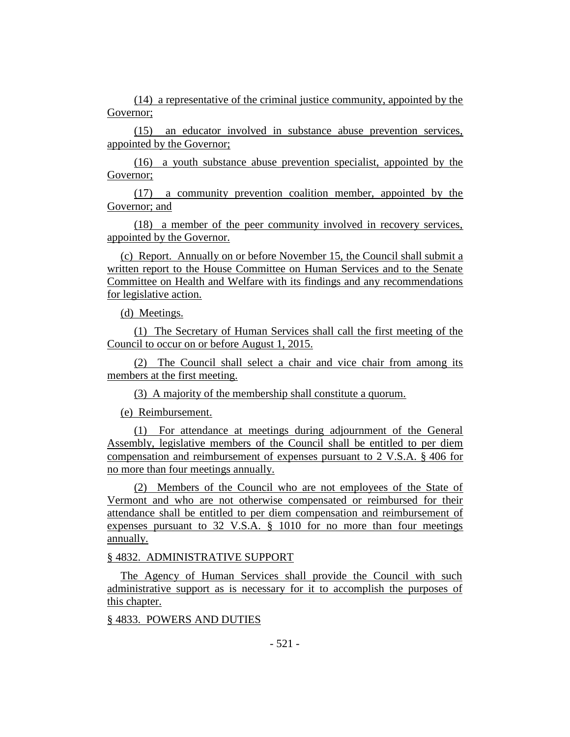(14) a representative of the criminal justice community, appointed by the Governor;

(15) an educator involved in substance abuse prevention services, appointed by the Governor;

(16) a youth substance abuse prevention specialist, appointed by the Governor;

(17) a community prevention coalition member, appointed by the Governor; and

(18) a member of the peer community involved in recovery services, appointed by the Governor.

(c) Report. Annually on or before November 15, the Council shall submit a written report to the House Committee on Human Services and to the Senate Committee on Health and Welfare with its findings and any recommendations for legislative action.

(d) Meetings.

(1) The Secretary of Human Services shall call the first meeting of the Council to occur on or before August 1, 2015.

(2) The Council shall select a chair and vice chair from among its members at the first meeting.

(3) A majority of the membership shall constitute a quorum.

(e) Reimbursement.

(1) For attendance at meetings during adjournment of the General Assembly, legislative members of the Council shall be entitled to per diem compensation and reimbursement of expenses pursuant to 2 V.S.A. § 406 for no more than four meetings annually.

(2) Members of the Council who are not employees of the State of Vermont and who are not otherwise compensated or reimbursed for their attendance shall be entitled to per diem compensation and reimbursement of expenses pursuant to 32 V.S.A. § 1010 for no more than four meetings annually.

## § 4832. ADMINISTRATIVE SUPPORT

The Agency of Human Services shall provide the Council with such administrative support as is necessary for it to accomplish the purposes of this chapter.

## § 4833. POWERS AND DUTIES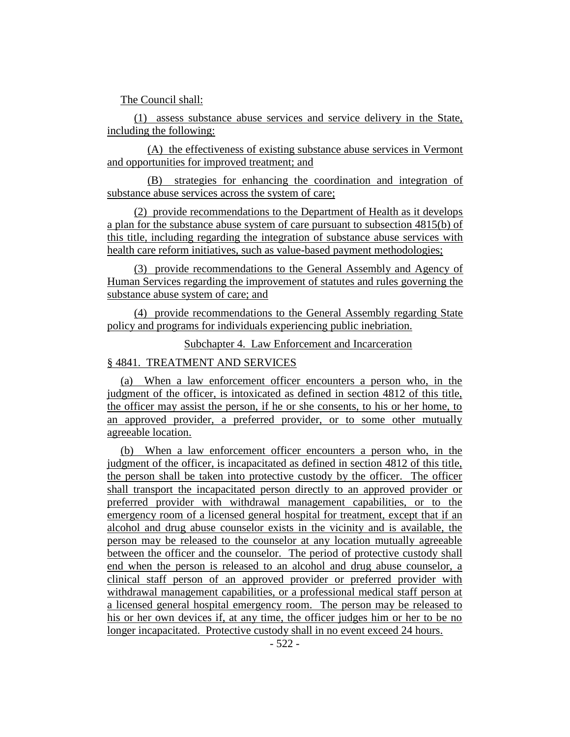The Council shall:

(1) assess substance abuse services and service delivery in the State, including the following:

(A) the effectiveness of existing substance abuse services in Vermont and opportunities for improved treatment; and

(B) strategies for enhancing the coordination and integration of substance abuse services across the system of care;

(2) provide recommendations to the Department of Health as it develops a plan for the substance abuse system of care pursuant to subsection 4815(b) of this title, including regarding the integration of substance abuse services with health care reform initiatives, such as value-based payment methodologies;

(3) provide recommendations to the General Assembly and Agency of Human Services regarding the improvement of statutes and rules governing the substance abuse system of care; and

(4) provide recommendations to the General Assembly regarding State policy and programs for individuals experiencing public inebriation.

Subchapter 4. Law Enforcement and Incarceration

# § 4841. TREATMENT AND SERVICES

(a) When a law enforcement officer encounters a person who, in the judgment of the officer, is intoxicated as defined in section 4812 of this title, the officer may assist the person, if he or she consents, to his or her home, to an approved provider, a preferred provider, or to some other mutually agreeable location.

(b) When a law enforcement officer encounters a person who, in the judgment of the officer, is incapacitated as defined in section 4812 of this title, the person shall be taken into protective custody by the officer. The officer shall transport the incapacitated person directly to an approved provider or preferred provider with withdrawal management capabilities, or to the emergency room of a licensed general hospital for treatment, except that if an alcohol and drug abuse counselor exists in the vicinity and is available, the person may be released to the counselor at any location mutually agreeable between the officer and the counselor. The period of protective custody shall end when the person is released to an alcohol and drug abuse counselor, a clinical staff person of an approved provider or preferred provider with withdrawal management capabilities, or a professional medical staff person at a licensed general hospital emergency room. The person may be released to his or her own devices if, at any time, the officer judges him or her to be no longer incapacitated. Protective custody shall in no event exceed 24 hours.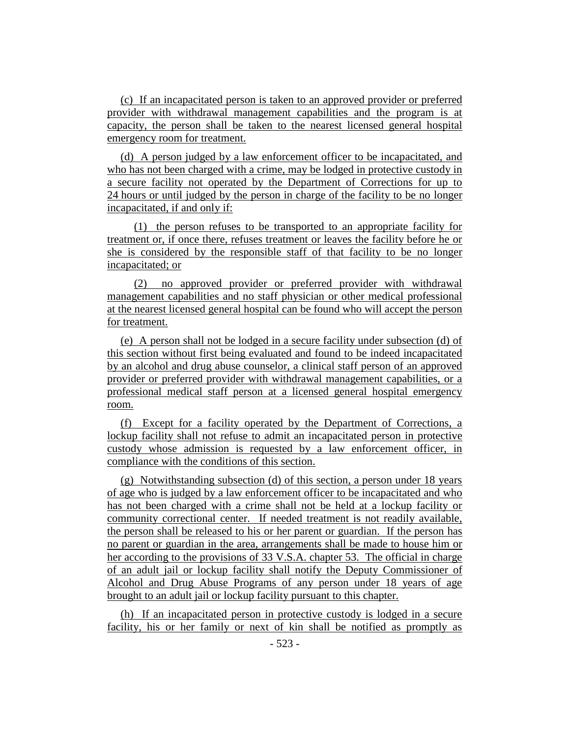(c) If an incapacitated person is taken to an approved provider or preferred provider with withdrawal management capabilities and the program is at capacity, the person shall be taken to the nearest licensed general hospital emergency room for treatment.

(d) A person judged by a law enforcement officer to be incapacitated, and who has not been charged with a crime, may be lodged in protective custody in a secure facility not operated by the Department of Corrections for up to 24 hours or until judged by the person in charge of the facility to be no longer incapacitated, if and only if:

(1) the person refuses to be transported to an appropriate facility for treatment or, if once there, refuses treatment or leaves the facility before he or she is considered by the responsible staff of that facility to be no longer incapacitated; or

(2) no approved provider or preferred provider with withdrawal management capabilities and no staff physician or other medical professional at the nearest licensed general hospital can be found who will accept the person for treatment.

(e) A person shall not be lodged in a secure facility under subsection (d) of this section without first being evaluated and found to be indeed incapacitated by an alcohol and drug abuse counselor, a clinical staff person of an approved provider or preferred provider with withdrawal management capabilities, or a professional medical staff person at a licensed general hospital emergency room.

(f) Except for a facility operated by the Department of Corrections, a lockup facility shall not refuse to admit an incapacitated person in protective custody whose admission is requested by a law enforcement officer, in compliance with the conditions of this section.

(g) Notwithstanding subsection (d) of this section, a person under 18 years of age who is judged by a law enforcement officer to be incapacitated and who has not been charged with a crime shall not be held at a lockup facility or community correctional center. If needed treatment is not readily available, the person shall be released to his or her parent or guardian. If the person has no parent or guardian in the area, arrangements shall be made to house him or her according to the provisions of 33 V.S.A. chapter 53. The official in charge of an adult jail or lockup facility shall notify the Deputy Commissioner of Alcohol and Drug Abuse Programs of any person under 18 years of age brought to an adult jail or lockup facility pursuant to this chapter.

(h) If an incapacitated person in protective custody is lodged in a secure facility, his or her family or next of kin shall be notified as promptly as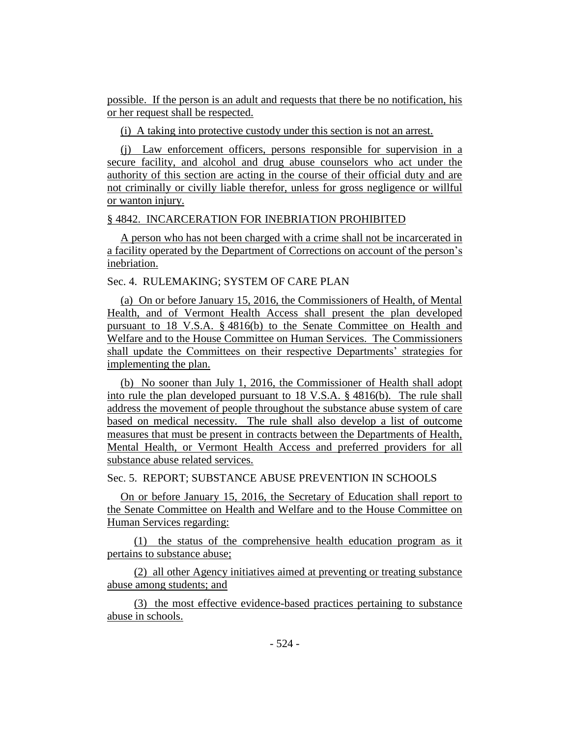possible. If the person is an adult and requests that there be no notification, his or her request shall be respected.

(i) A taking into protective custody under this section is not an arrest.

(j) Law enforcement officers, persons responsible for supervision in a secure facility, and alcohol and drug abuse counselors who act under the authority of this section are acting in the course of their official duty and are not criminally or civilly liable therefor, unless for gross negligence or willful or wanton injury.

## § 4842. INCARCERATION FOR INEBRIATION PROHIBITED

A person who has not been charged with a crime shall not be incarcerated in a facility operated by the Department of Corrections on account of the person's inebriation.

Sec. 4. RULEMAKING; SYSTEM OF CARE PLAN

(a) On or before January 15, 2016, the Commissioners of Health, of Mental Health, and of Vermont Health Access shall present the plan developed pursuant to 18 V.S.A. § 4816(b) to the Senate Committee on Health and Welfare and to the House Committee on Human Services. The Commissioners shall update the Committees on their respective Departments' strategies for implementing the plan.

(b) No sooner than July 1, 2016, the Commissioner of Health shall adopt into rule the plan developed pursuant to 18 V.S.A. § 4816(b). The rule shall address the movement of people throughout the substance abuse system of care based on medical necessity. The rule shall also develop a list of outcome measures that must be present in contracts between the Departments of Health, Mental Health, or Vermont Health Access and preferred providers for all substance abuse related services.

Sec. 5. REPORT; SUBSTANCE ABUSE PREVENTION IN SCHOOLS

On or before January 15, 2016, the Secretary of Education shall report to the Senate Committee on Health and Welfare and to the House Committee on Human Services regarding:

(1) the status of the comprehensive health education program as it pertains to substance abuse;

(2) all other Agency initiatives aimed at preventing or treating substance abuse among students; and

(3) the most effective evidence-based practices pertaining to substance abuse in schools.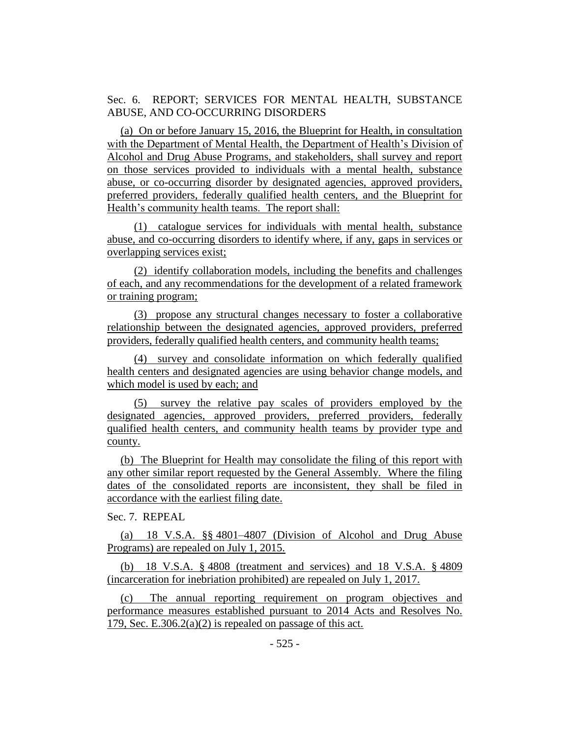Sec. 6. REPORT; SERVICES FOR MENTAL HEALTH, SUBSTANCE ABUSE, AND CO-OCCURRING DISORDERS

(a) On or before January 15, 2016, the Blueprint for Health, in consultation with the Department of Mental Health, the Department of Health's Division of Alcohol and Drug Abuse Programs, and stakeholders, shall survey and report on those services provided to individuals with a mental health, substance abuse, or co-occurring disorder by designated agencies, approved providers, preferred providers, federally qualified health centers, and the Blueprint for Health's community health teams. The report shall:

(1) catalogue services for individuals with mental health, substance abuse, and co-occurring disorders to identify where, if any, gaps in services or overlapping services exist;

(2) identify collaboration models, including the benefits and challenges of each, and any recommendations for the development of a related framework or training program;

(3) propose any structural changes necessary to foster a collaborative relationship between the designated agencies, approved providers, preferred providers, federally qualified health centers, and community health teams;

(4) survey and consolidate information on which federally qualified health centers and designated agencies are using behavior change models, and which model is used by each; and

(5) survey the relative pay scales of providers employed by the designated agencies, approved providers, preferred providers, federally qualified health centers, and community health teams by provider type and county.

(b) The Blueprint for Health may consolidate the filing of this report with any other similar report requested by the General Assembly. Where the filing dates of the consolidated reports are inconsistent, they shall be filed in accordance with the earliest filing date.

Sec. 7. REPEAL

(a) 18 V.S.A. §§ 4801–4807 (Division of Alcohol and Drug Abuse Programs) are repealed on July 1, 2015.

(b) 18 V.S.A. § 4808 (treatment and services) and 18 V.S.A. § 4809 (incarceration for inebriation prohibited) are repealed on July 1, 2017.

(c) The annual reporting requirement on program objectives and performance measures established pursuant to 2014 Acts and Resolves No. 179, Sec. E.306.2(a)(2) is repealed on passage of this act.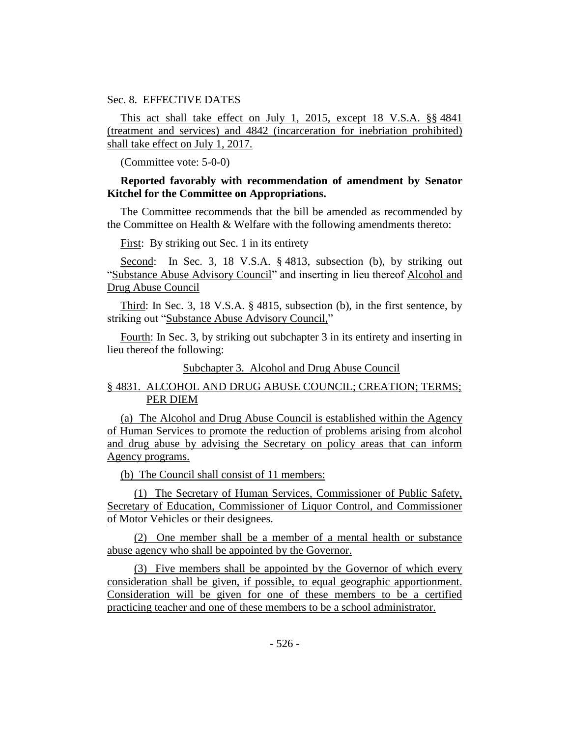Sec. 8. EFFECTIVE DATES

This act shall take effect on July 1, 2015, except 18 V.S.A. §§ 4841 (treatment and services) and 4842 (incarceration for inebriation prohibited) shall take effect on July 1, 2017.

(Committee vote: 5-0-0)

# **Reported favorably with recommendation of amendment by Senator Kitchel for the Committee on Appropriations.**

The Committee recommends that the bill be amended as recommended by the Committee on Health & Welfare with the following amendments thereto:

First: By striking out Sec. 1 in its entirety

Second: In Sec. 3, 18 V.S.A. § 4813, subsection (b), by striking out "Substance Abuse Advisory Council" and inserting in lieu thereof Alcohol and Drug Abuse Council

Third: In Sec. 3, 18 V.S.A. § 4815, subsection (b), in the first sentence, by striking out "Substance Abuse Advisory Council,"

Fourth: In Sec. 3, by striking out subchapter 3 in its entirety and inserting in lieu thereof the following:

## Subchapter 3. Alcohol and Drug Abuse Council

# § 4831. ALCOHOL AND DRUG ABUSE COUNCIL; CREATION; TERMS; PER DIEM

(a) The Alcohol and Drug Abuse Council is established within the Agency of Human Services to promote the reduction of problems arising from alcohol and drug abuse by advising the Secretary on policy areas that can inform Agency programs.

(b) The Council shall consist of 11 members:

(1) The Secretary of Human Services, Commissioner of Public Safety, Secretary of Education, Commissioner of Liquor Control, and Commissioner of Motor Vehicles or their designees.

(2) One member shall be a member of a mental health or substance abuse agency who shall be appointed by the Governor.

(3) Five members shall be appointed by the Governor of which every consideration shall be given, if possible, to equal geographic apportionment. Consideration will be given for one of these members to be a certified practicing teacher and one of these members to be a school administrator.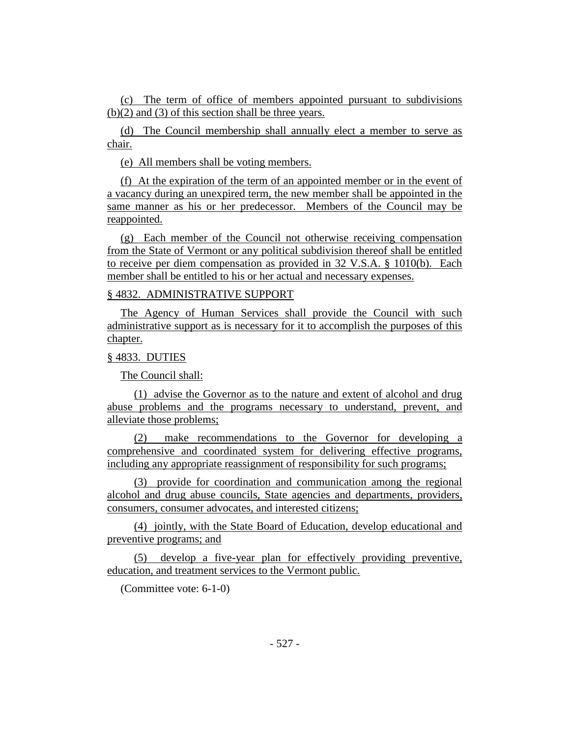(c) The term of office of members appointed pursuant to subdivisions (b)(2) and (3) of this section shall be three years.

(d) The Council membership shall annually elect a member to serve as chair.

(e) All members shall be voting members.

(f) At the expiration of the term of an appointed member or in the event of a vacancy during an unexpired term, the new member shall be appointed in the same manner as his or her predecessor. Members of the Council may be reappointed.

(g) Each member of the Council not otherwise receiving compensation from the State of Vermont or any political subdivision thereof shall be entitled to receive per diem compensation as provided in 32 V.S.A. § 1010(b). Each member shall be entitled to his or her actual and necessary expenses.

# § 4832. ADMINISTRATIVE SUPPORT

The Agency of Human Services shall provide the Council with such administrative support as is necessary for it to accomplish the purposes of this chapter.

## § 4833. DUTIES

The Council shall:

(1) advise the Governor as to the nature and extent of alcohol and drug abuse problems and the programs necessary to understand, prevent, and alleviate those problems;

(2) make recommendations to the Governor for developing a comprehensive and coordinated system for delivering effective programs, including any appropriate reassignment of responsibility for such programs;

(3) provide for coordination and communication among the regional alcohol and drug abuse councils, State agencies and departments, providers, consumers, consumer advocates, and interested citizens;

(4) jointly, with the State Board of Education, develop educational and preventive programs; and

(5) develop a five-year plan for effectively providing preventive, education, and treatment services to the Vermont public.

(Committee vote: 6-1-0)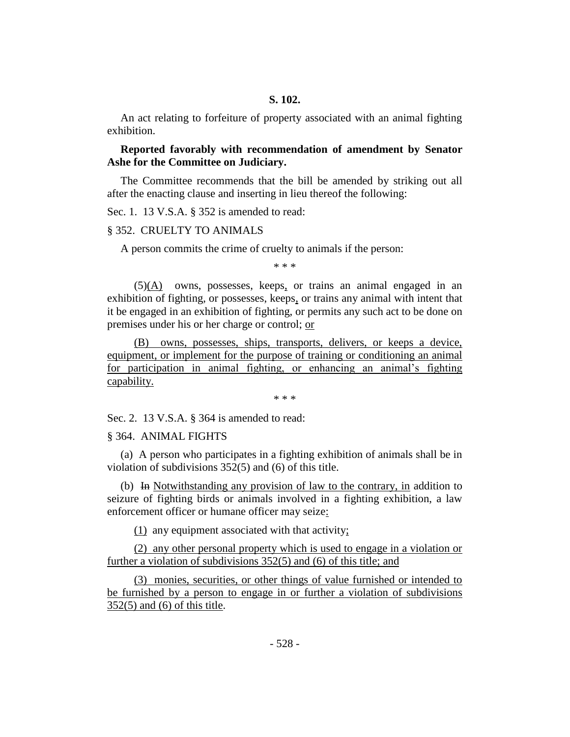An act relating to forfeiture of property associated with an animal fighting exhibition.

# **Reported favorably with recommendation of amendment by Senator Ashe for the Committee on Judiciary.**

The Committee recommends that the bill be amended by striking out all after the enacting clause and inserting in lieu thereof the following:

Sec. 1. 13 V.S.A. § 352 is amended to read:

#### § 352. CRUELTY TO ANIMALS

A person commits the crime of cruelty to animals if the person:

\* \* \*

(5)(A) owns, possesses, keeps, or trains an animal engaged in an exhibition of fighting, or possesses, keeps, or trains any animal with intent that it be engaged in an exhibition of fighting, or permits any such act to be done on premises under his or her charge or control; or

(B) owns, possesses, ships, transports, delivers, or keeps a device, equipment, or implement for the purpose of training or conditioning an animal for participation in animal fighting, or enhancing an animal's fighting capability.

\* \* \*

Sec. 2. 13 V.S.A. § 364 is amended to read:

#### § 364. ANIMAL FIGHTS

(a) A person who participates in a fighting exhibition of animals shall be in violation of subdivisions 352(5) and (6) of this title.

(b) In Notwithstanding any provision of law to the contrary, in addition to seizure of fighting birds or animals involved in a fighting exhibition, a law enforcement officer or humane officer may seize:

(1) any equipment associated with that activity;

(2) any other personal property which is used to engage in a violation or further a violation of subdivisions 352(5) and (6) of this title; and

(3) monies, securities, or other things of value furnished or intended to be furnished by a person to engage in or further a violation of subdivisions 352(5) and (6) of this title.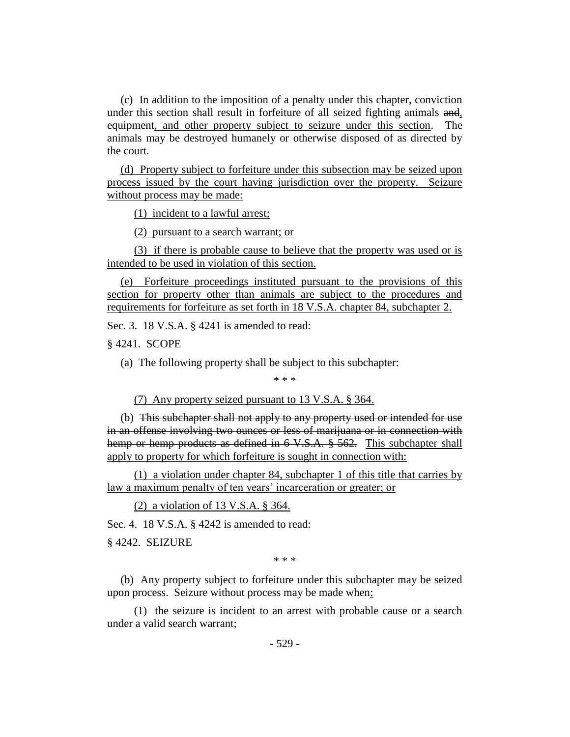(c) In addition to the imposition of a penalty under this chapter, conviction under this section shall result in forfeiture of all seized fighting animals and, equipment, and other property subject to seizure under this section. The animals may be destroyed humanely or otherwise disposed of as directed by the court.

(d) Property subject to forfeiture under this subsection may be seized upon process issued by the court having jurisdiction over the property. Seizure without process may be made:

(1) incident to a lawful arrest;

(2) pursuant to a search warrant; or

(3) if there is probable cause to believe that the property was used or is intended to be used in violation of this section.

(e) Forfeiture proceedings instituted pursuant to the provisions of this section for property other than animals are subject to the procedures and requirements for forfeiture as set forth in 18 V.S.A. chapter 84, subchapter 2.

Sec. 3. 18 V.S.A. § 4241 is amended to read:

§ 4241. SCOPE

(a) The following property shall be subject to this subchapter:

\* \* \*

(7) Any property seized pursuant to 13 V.S.A. § 364.

(b) This subchapter shall not apply to any property used or intended for use in an offense involving two ounces or less of marijuana or in connection with hemp or hemp products as defined in 6 V.S.A. § 562. This subchapter shall apply to property for which forfeiture is sought in connection with:

(1) a violation under chapter 84, subchapter 1 of this title that carries by law a maximum penalty of ten years' incarceration or greater; or

(2) a violation of 13 V.S.A. § 364.

Sec. 4. 18 V.S.A. § 4242 is amended to read:

§ 4242. SEIZURE

\* \* \*

(b) Any property subject to forfeiture under this subchapter may be seized upon process. Seizure without process may be made when:

(1) the seizure is incident to an arrest with probable cause or a search under a valid search warrant;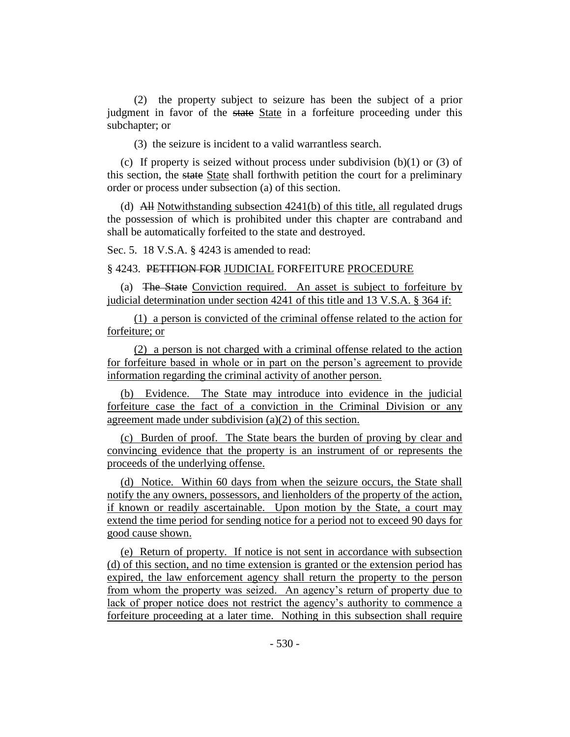(2) the property subject to seizure has been the subject of a prior judgment in favor of the state State in a forfeiture proceeding under this subchapter; or

(3) the seizure is incident to a valid warrantless search.

(c) If property is seized without process under subdivision  $(b)(1)$  or  $(3)$  of this section, the state State shall forthwith petition the court for a preliminary order or process under subsection (a) of this section.

(d) All Notwithstanding subsection 4241(b) of this title, all regulated drugs the possession of which is prohibited under this chapter are contraband and shall be automatically forfeited to the state and destroyed.

Sec. 5. 18 V.S.A. § 4243 is amended to read:

§ 4243. PETITION FOR JUDICIAL FORFEITURE PROCEDURE

(a) The State Conviction required. An asset is subject to forfeiture by judicial determination under section 4241 of this title and 13 V.S.A. § 364 if:

(1) a person is convicted of the criminal offense related to the action for forfeiture; or

(2) a person is not charged with a criminal offense related to the action for forfeiture based in whole or in part on the person's agreement to provide information regarding the criminal activity of another person.

(b) Evidence. The State may introduce into evidence in the judicial forfeiture case the fact of a conviction in the Criminal Division or any agreement made under subdivision (a)(2) of this section.

(c) Burden of proof. The State bears the burden of proving by clear and convincing evidence that the property is an instrument of or represents the proceeds of the underlying offense.

(d) Notice. Within 60 days from when the seizure occurs, the State shall notify the any owners, possessors, and lienholders of the property of the action, if known or readily ascertainable. Upon motion by the State, a court may extend the time period for sending notice for a period not to exceed 90 days for good cause shown.

(e) Return of property. If notice is not sent in accordance with subsection (d) of this section, and no time extension is granted or the extension period has expired, the law enforcement agency shall return the property to the person from whom the property was seized. An agency's return of property due to lack of proper notice does not restrict the agency's authority to commence a forfeiture proceeding at a later time. Nothing in this subsection shall require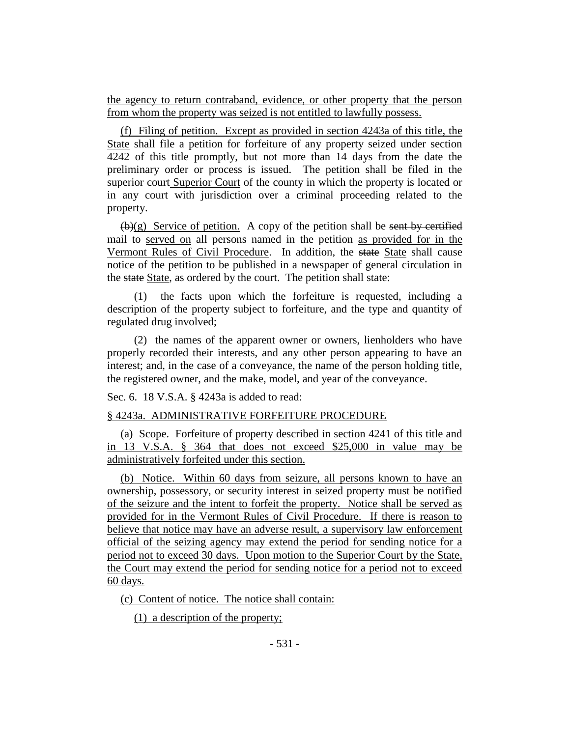the agency to return contraband, evidence, or other property that the person from whom the property was seized is not entitled to lawfully possess.

(f) Filing of petition. Except as provided in section 4243a of this title, the State shall file a petition for forfeiture of any property seized under section 4242 of this title promptly, but not more than 14 days from the date the preliminary order or process is issued. The petition shall be filed in the superior court Superior Court of the county in which the property is located or in any court with jurisdiction over a criminal proceeding related to the property.

 $(\mathbf{b})(g)$  Service of petition. A copy of the petition shall be sent by certified mail to served on all persons named in the petition as provided for in the Vermont Rules of Civil Procedure. In addition, the state State shall cause notice of the petition to be published in a newspaper of general circulation in the state State, as ordered by the court. The petition shall state:

(1) the facts upon which the forfeiture is requested, including a description of the property subject to forfeiture, and the type and quantity of regulated drug involved;

(2) the names of the apparent owner or owners, lienholders who have properly recorded their interests, and any other person appearing to have an interest; and, in the case of a conveyance, the name of the person holding title, the registered owner, and the make, model, and year of the conveyance.

Sec. 6. 18 V.S.A. § 4243a is added to read:

## § 4243a. ADMINISTRATIVE FORFEITURE PROCEDURE

(a) Scope. Forfeiture of property described in section 4241 of this title and in 13 V.S.A. § 364 that does not exceed \$25,000 in value may be administratively forfeited under this section.

(b) Notice. Within 60 days from seizure, all persons known to have an ownership, possessory, or security interest in seized property must be notified of the seizure and the intent to forfeit the property. Notice shall be served as provided for in the Vermont Rules of Civil Procedure. If there is reason to believe that notice may have an adverse result, a supervisory law enforcement official of the seizing agency may extend the period for sending notice for a period not to exceed 30 days. Upon motion to the Superior Court by the State, the Court may extend the period for sending notice for a period not to exceed 60 days.

(c) Content of notice. The notice shall contain:

(1) a description of the property;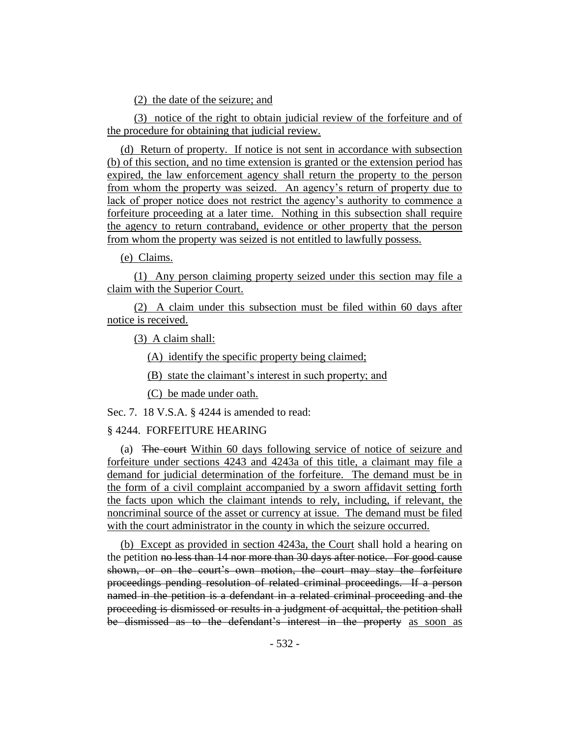(2) the date of the seizure; and

(3) notice of the right to obtain judicial review of the forfeiture and of the procedure for obtaining that judicial review.

(d) Return of property. If notice is not sent in accordance with subsection (b) of this section, and no time extension is granted or the extension period has expired, the law enforcement agency shall return the property to the person from whom the property was seized. An agency's return of property due to lack of proper notice does not restrict the agency's authority to commence a forfeiture proceeding at a later time. Nothing in this subsection shall require the agency to return contraband, evidence or other property that the person from whom the property was seized is not entitled to lawfully possess.

(e) Claims.

(1) Any person claiming property seized under this section may file a claim with the Superior Court.

(2) A claim under this subsection must be filed within 60 days after notice is received.

(3) A claim shall:

(A) identify the specific property being claimed;

(B) state the claimant's interest in such property; and

(C) be made under oath.

Sec. 7. 18 V.S.A. § 4244 is amended to read:

## § 4244. FORFEITURE HEARING

(a) The court Within 60 days following service of notice of seizure and forfeiture under sections 4243 and 4243a of this title, a claimant may file a demand for judicial determination of the forfeiture. The demand must be in the form of a civil complaint accompanied by a sworn affidavit setting forth the facts upon which the claimant intends to rely, including, if relevant, the noncriminal source of the asset or currency at issue. The demand must be filed with the court administrator in the county in which the seizure occurred.

(b) Except as provided in section 4243a, the Court shall hold a hearing on the petition no less than 14 nor more than 30 days after notice. For good cause shown, or on the court's own motion, the court may stay the forfeiture proceedings pending resolution of related criminal proceedings. If a person named in the petition is a defendant in a related criminal proceeding and the proceeding is dismissed or results in a judgment of acquittal, the petition shall be dismissed as to the defendant's interest in the property as soon as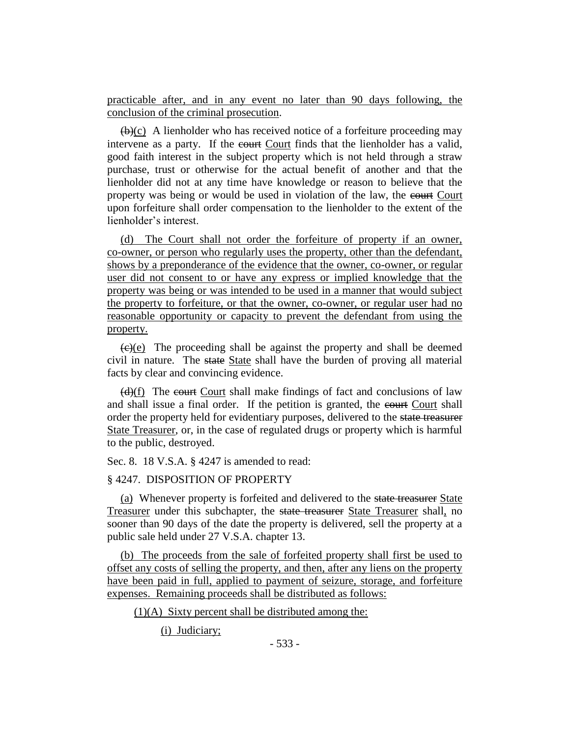practicable after, and in any event no later than 90 days following, the conclusion of the criminal prosecution.

 $(\theta)(c)$  A lienholder who has received notice of a forfeiture proceeding may intervene as a party. If the court Court finds that the lienholder has a valid, good faith interest in the subject property which is not held through a straw purchase, trust or otherwise for the actual benefit of another and that the lienholder did not at any time have knowledge or reason to believe that the property was being or would be used in violation of the law, the court Court upon forfeiture shall order compensation to the lienholder to the extent of the lienholder's interest.

(d) The Court shall not order the forfeiture of property if an owner, co-owner, or person who regularly uses the property, other than the defendant, shows by a preponderance of the evidence that the owner, co-owner, or regular user did not consent to or have any express or implied knowledge that the property was being or was intended to be used in a manner that would subject the property to forfeiture, or that the owner, co-owner, or regular user had no reasonable opportunity or capacity to prevent the defendant from using the property.

 $\overline{(e)(e)}$  The proceeding shall be against the property and shall be deemed civil in nature. The state State shall have the burden of proving all material facts by clear and convincing evidence.

 $(d)(f)$  The court Court shall make findings of fact and conclusions of law and shall issue a final order. If the petition is granted, the court Court shall order the property held for evidentiary purposes, delivered to the state treasurer State Treasurer, or, in the case of regulated drugs or property which is harmful to the public, destroyed.

Sec. 8. 18 V.S.A. § 4247 is amended to read:

## § 4247. DISPOSITION OF PROPERTY

(a) Whenever property is forfeited and delivered to the state treasurer State Treasurer under this subchapter, the state treasurer State Treasurer shall, no sooner than 90 days of the date the property is delivered, sell the property at a public sale held under 27 V.S.A. chapter 13.

(b) The proceeds from the sale of forfeited property shall first be used to offset any costs of selling the property, and then, after any liens on the property have been paid in full, applied to payment of seizure, storage, and forfeiture expenses. Remaining proceeds shall be distributed as follows:

 $(1)(A)$  Sixty percent shall be distributed among the:

(i) Judiciary;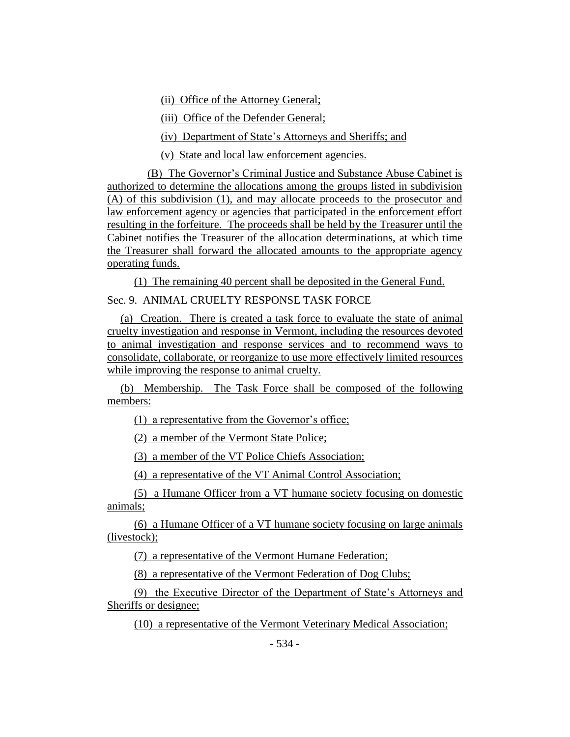(ii) Office of the Attorney General;

(iii) Office of the Defender General;

(iv) Department of State's Attorneys and Sheriffs; and

(v) State and local law enforcement agencies.

(B) The Governor's Criminal Justice and Substance Abuse Cabinet is authorized to determine the allocations among the groups listed in subdivision (A) of this subdivision (1), and may allocate proceeds to the prosecutor and law enforcement agency or agencies that participated in the enforcement effort resulting in the forfeiture. The proceeds shall be held by the Treasurer until the Cabinet notifies the Treasurer of the allocation determinations, at which time the Treasurer shall forward the allocated amounts to the appropriate agency operating funds.

(1) The remaining 40 percent shall be deposited in the General Fund. Sec. 9. ANIMAL CRUELTY RESPONSE TASK FORCE

(a) Creation. There is created a task force to evaluate the state of animal cruelty investigation and response in Vermont, including the resources devoted to animal investigation and response services and to recommend ways to consolidate, collaborate, or reorganize to use more effectively limited resources while improving the response to animal cruelty.

(b) Membership. The Task Force shall be composed of the following members:

(1) a representative from the Governor's office;

(2) a member of the Vermont State Police;

(3) a member of the VT Police Chiefs Association;

(4) a representative of the VT Animal Control Association;

(5) a Humane Officer from a VT humane society focusing on domestic animals;

(6) a Humane Officer of a VT humane society focusing on large animals (livestock);

(7) a representative of the Vermont Humane Federation;

(8) a representative of the Vermont Federation of Dog Clubs;

(9) the Executive Director of the Department of State's Attorneys and Sheriffs or designee;

(10) a representative of the Vermont Veterinary Medical Association;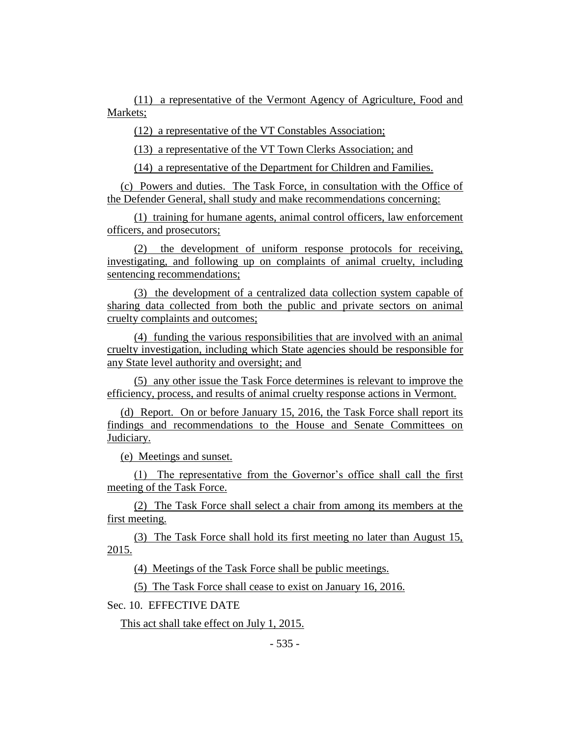(11) a representative of the Vermont Agency of Agriculture, Food and Markets;

(12) a representative of the VT Constables Association;

(13) a representative of the VT Town Clerks Association; and

(14) a representative of the Department for Children and Families.

(c) Powers and duties. The Task Force, in consultation with the Office of the Defender General, shall study and make recommendations concerning:

(1) training for humane agents, animal control officers, law enforcement officers, and prosecutors;

(2) the development of uniform response protocols for receiving, investigating, and following up on complaints of animal cruelty, including sentencing recommendations;

(3) the development of a centralized data collection system capable of sharing data collected from both the public and private sectors on animal cruelty complaints and outcomes;

(4) funding the various responsibilities that are involved with an animal cruelty investigation, including which State agencies should be responsible for any State level authority and oversight; and

(5) any other issue the Task Force determines is relevant to improve the efficiency, process, and results of animal cruelty response actions in Vermont.

(d) Report. On or before January 15, 2016, the Task Force shall report its findings and recommendations to the House and Senate Committees on Judiciary.

(e) Meetings and sunset.

(1) The representative from the Governor's office shall call the first meeting of the Task Force.

(2) The Task Force shall select a chair from among its members at the first meeting.

(3) The Task Force shall hold its first meeting no later than August 15, 2015.

(4) Meetings of the Task Force shall be public meetings.

(5) The Task Force shall cease to exist on January 16, 2016.

Sec. 10. EFFECTIVE DATE

This act shall take effect on July 1, 2015.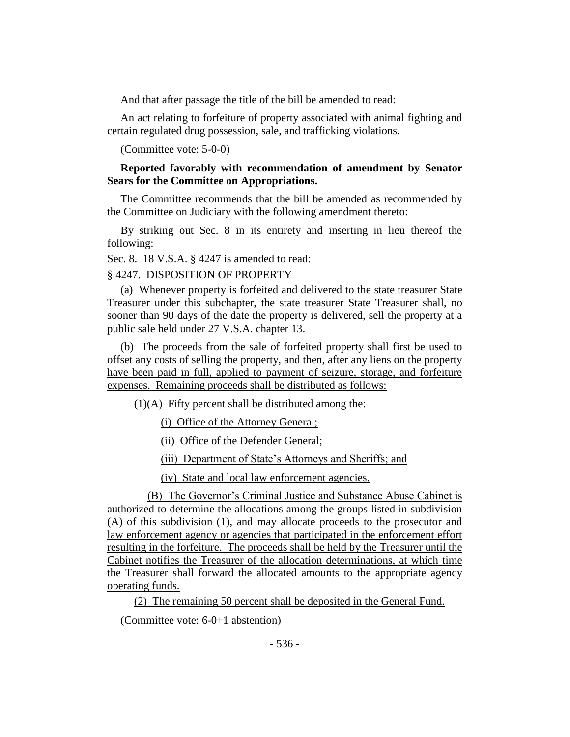And that after passage the title of the bill be amended to read:

An act relating to forfeiture of property associated with animal fighting and certain regulated drug possession, sale, and trafficking violations.

(Committee vote: 5-0-0)

# **Reported favorably with recommendation of amendment by Senator Sears for the Committee on Appropriations.**

The Committee recommends that the bill be amended as recommended by the Committee on Judiciary with the following amendment thereto:

By striking out Sec. 8 in its entirety and inserting in lieu thereof the following:

Sec. 8. 18 V.S.A. § 4247 is amended to read:

## § 4247. DISPOSITION OF PROPERTY

(a) Whenever property is forfeited and delivered to the state treasurer State Treasurer under this subchapter, the state treasurer State Treasurer shall, no sooner than 90 days of the date the property is delivered, sell the property at a public sale held under 27 V.S.A. chapter 13.

(b) The proceeds from the sale of forfeited property shall first be used to offset any costs of selling the property, and then, after any liens on the property have been paid in full, applied to payment of seizure, storage, and forfeiture expenses. Remaining proceeds shall be distributed as follows:

 $(1)(A)$  Fifty percent shall be distributed among the:

(i) Office of the Attorney General;

(ii) Office of the Defender General;

(iii) Department of State's Attorneys and Sheriffs; and

(iv) State and local law enforcement agencies.

(B) The Governor's Criminal Justice and Substance Abuse Cabinet is authorized to determine the allocations among the groups listed in subdivision (A) of this subdivision (1), and may allocate proceeds to the prosecutor and law enforcement agency or agencies that participated in the enforcement effort resulting in the forfeiture. The proceeds shall be held by the Treasurer until the Cabinet notifies the Treasurer of the allocation determinations, at which time the Treasurer shall forward the allocated amounts to the appropriate agency operating funds.

(2) The remaining 50 percent shall be deposited in the General Fund.

(Committee vote: 6-0+1 abstention)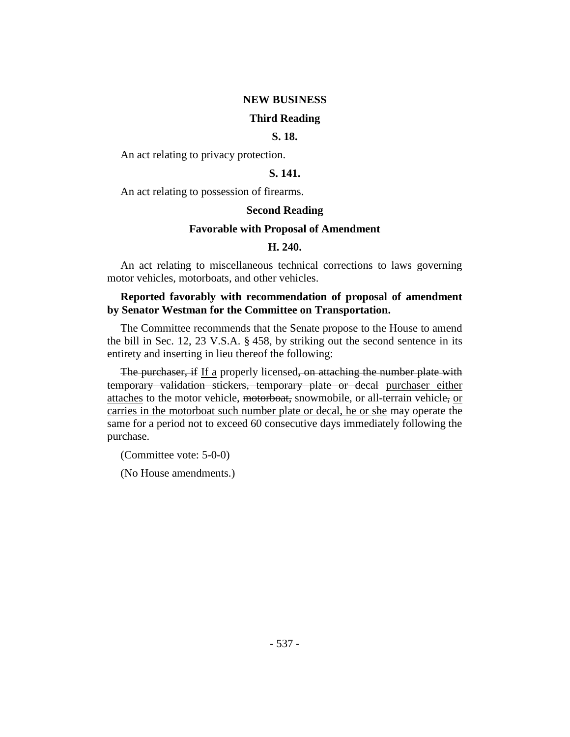# **NEW BUSINESS**

## **Third Reading**

## **S. 18.**

An act relating to privacy protection.

## **S. 141.**

An act relating to possession of firearms.

#### **Second Reading**

#### **Favorable with Proposal of Amendment**

#### **H. 240.**

An act relating to miscellaneous technical corrections to laws governing motor vehicles, motorboats, and other vehicles.

## **Reported favorably with recommendation of proposal of amendment by Senator Westman for the Committee on Transportation.**

The Committee recommends that the Senate propose to the House to amend the bill in Sec. 12, 23 V.S.A. § 458, by striking out the second sentence in its entirety and inserting in lieu thereof the following:

The purchaser, if If a properly licensed, on attaching the number plate with temporary validation stickers, temporary plate or decal purchaser either attaches to the motor vehicle, motorboat, snowmobile, or all-terrain vehicle, or carries in the motorboat such number plate or decal, he or she may operate the same for a period not to exceed 60 consecutive days immediately following the purchase.

(Committee vote: 5-0-0)

(No House amendments.)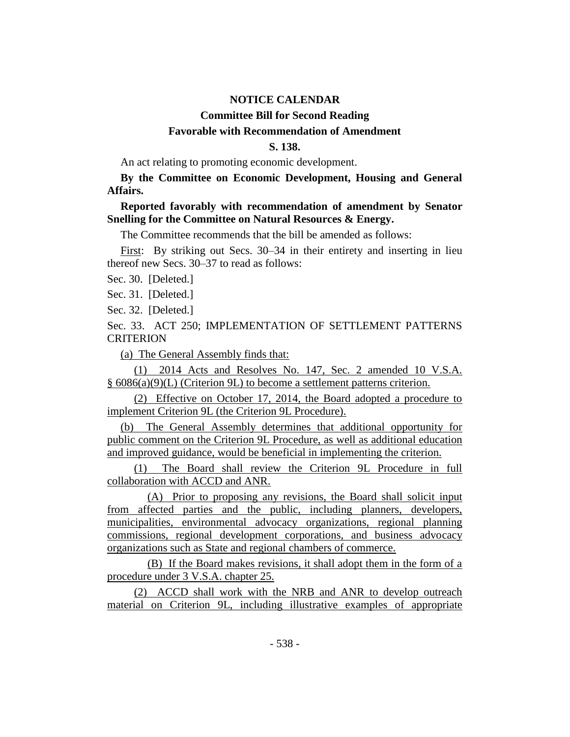#### **NOTICE CALENDAR**

# **Committee Bill for Second Reading Favorable with Recommendation of Amendment**

## **S. 138.**

An act relating to promoting economic development.

**By the Committee on Economic Development, Housing and General Affairs.**

**Reported favorably with recommendation of amendment by Senator Snelling for the Committee on Natural Resources & Energy.**

The Committee recommends that the bill be amended as follows:

First: By striking out Secs. 30–34 in their entirety and inserting in lieu thereof new Secs. 30–37 to read as follows:

Sec. 30. [Deleted.]

Sec. 31. [Deleted.]

Sec. 32. [Deleted.]

Sec. 33. ACT 250; IMPLEMENTATION OF SETTLEMENT PATTERNS **CRITERION** 

(a) The General Assembly finds that:

(1) 2014 Acts and Resolves No. 147, Sec. 2 amended 10 V.S.A. § 6086(a)(9)(L) (Criterion 9L) to become a settlement patterns criterion.

(2) Effective on October 17, 2014, the Board adopted a procedure to implement Criterion 9L (the Criterion 9L Procedure).

(b) The General Assembly determines that additional opportunity for public comment on the Criterion 9L Procedure, as well as additional education and improved guidance, would be beneficial in implementing the criterion.

(1) The Board shall review the Criterion 9L Procedure in full collaboration with ACCD and ANR.

(A) Prior to proposing any revisions, the Board shall solicit input from affected parties and the public, including planners, developers, municipalities, environmental advocacy organizations, regional planning commissions, regional development corporations, and business advocacy organizations such as State and regional chambers of commerce.

(B) If the Board makes revisions, it shall adopt them in the form of a procedure under 3 V.S.A. chapter 25.

(2) ACCD shall work with the NRB and ANR to develop outreach material on Criterion 9L, including illustrative examples of appropriate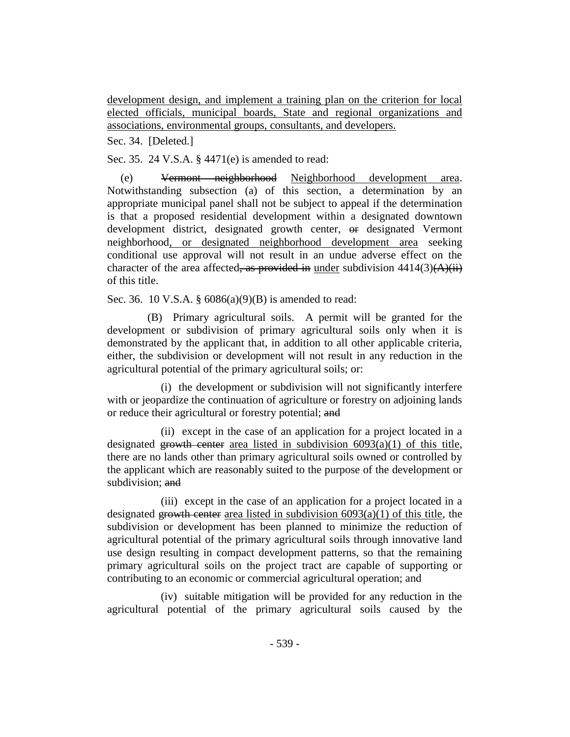development design, and implement a training plan on the criterion for local elected officials, municipal boards, State and regional organizations and associations, environmental groups, consultants, and developers.

Sec. 34. [Deleted.]

Sec. 35. 24 V.S.A. § 4471(e) is amended to read:

(e) Vermont neighborhood Neighborhood development area. Notwithstanding subsection (a) of this section, a determination by an appropriate municipal panel shall not be subject to appeal if the determination is that a proposed residential development within a designated downtown development district, designated growth center,  $\Theta$  designated Vermont neighborhood, or designated neighborhood development area seeking conditional use approval will not result in an undue adverse effect on the character of the area affected, as provided in under subdivision  $4414(3)(\overrightarrow{A})$ of this title.

Sec. 36. 10 V.S.A. § 6086(a)(9)(B) is amended to read:

(B) Primary agricultural soils. A permit will be granted for the development or subdivision of primary agricultural soils only when it is demonstrated by the applicant that, in addition to all other applicable criteria, either, the subdivision or development will not result in any reduction in the agricultural potential of the primary agricultural soils; or:

(i) the development or subdivision will not significantly interfere with or jeopardize the continuation of agriculture or forestry on adjoining lands or reduce their agricultural or forestry potential; and

(ii) except in the case of an application for a project located in a designated growth center area listed in subdivision  $6093(a)(1)$  of this title, there are no lands other than primary agricultural soils owned or controlled by the applicant which are reasonably suited to the purpose of the development or subdivision: and

(iii) except in the case of an application for a project located in a designated growth center area listed in subdivision  $6093(a)(1)$  of this title, the subdivision or development has been planned to minimize the reduction of agricultural potential of the primary agricultural soils through innovative land use design resulting in compact development patterns, so that the remaining primary agricultural soils on the project tract are capable of supporting or contributing to an economic or commercial agricultural operation; and

(iv) suitable mitigation will be provided for any reduction in the agricultural potential of the primary agricultural soils caused by the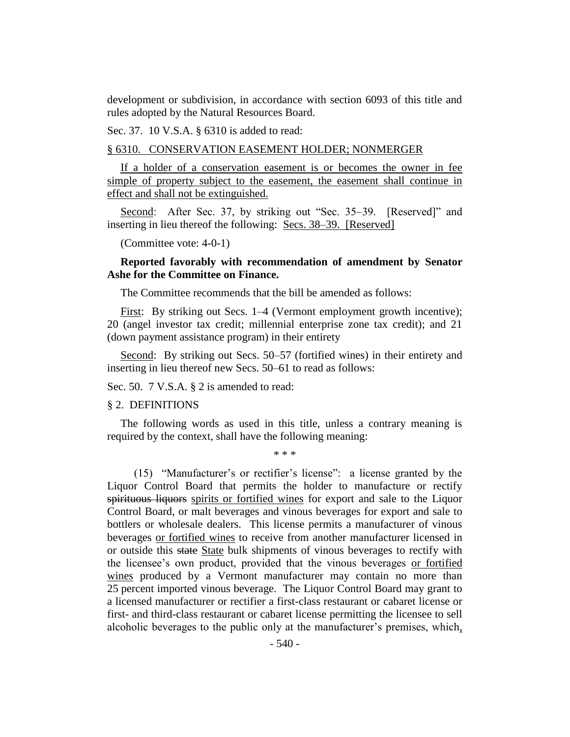development or subdivision, in accordance with section 6093 of this title and rules adopted by the Natural Resources Board.

Sec. 37. 10 V.S.A. § 6310 is added to read:

## § 6310. CONSERVATION EASEMENT HOLDER; NONMERGER

If a holder of a conservation easement is or becomes the owner in fee simple of property subject to the easement, the easement shall continue in effect and shall not be extinguished.

Second: After Sec. 37, by striking out "Sec. 35–39. [Reserved]" and inserting in lieu thereof the following: Secs. 38–39. [Reserved]

(Committee vote: 4-0-1)

# **Reported favorably with recommendation of amendment by Senator Ashe for the Committee on Finance.**

The Committee recommends that the bill be amended as follows:

First: By striking out Secs. 1–4 (Vermont employment growth incentive); 20 (angel investor tax credit; millennial enterprise zone tax credit); and 21 (down payment assistance program) in their entirety

Second: By striking out Secs. 50–57 (fortified wines) in their entirety and inserting in lieu thereof new Secs. 50–61 to read as follows:

Sec. 50. 7 V.S.A. § 2 is amended to read:

#### § 2. DEFINITIONS

The following words as used in this title, unless a contrary meaning is required by the context, shall have the following meaning:

\* \* \*

(15) "Manufacturer's or rectifier's license": a license granted by the Liquor Control Board that permits the holder to manufacture or rectify spirituous liquors spirits or fortified wines for export and sale to the Liquor Control Board, or malt beverages and vinous beverages for export and sale to bottlers or wholesale dealers. This license permits a manufacturer of vinous beverages or fortified wines to receive from another manufacturer licensed in or outside this state State bulk shipments of vinous beverages to rectify with the licensee's own product, provided that the vinous beverages or fortified wines produced by a Vermont manufacturer may contain no more than 25 percent imported vinous beverage. The Liquor Control Board may grant to a licensed manufacturer or rectifier a first-class restaurant or cabaret license or first- and third-class restaurant or cabaret license permitting the licensee to sell alcoholic beverages to the public only at the manufacturer's premises, which,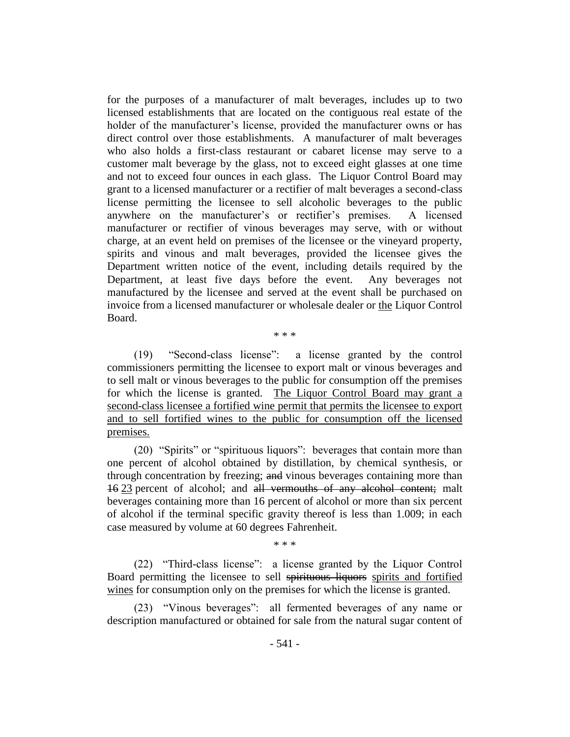for the purposes of a manufacturer of malt beverages, includes up to two licensed establishments that are located on the contiguous real estate of the holder of the manufacturer's license, provided the manufacturer owns or has direct control over those establishments. A manufacturer of malt beverages who also holds a first-class restaurant or cabaret license may serve to a customer malt beverage by the glass, not to exceed eight glasses at one time and not to exceed four ounces in each glass. The Liquor Control Board may grant to a licensed manufacturer or a rectifier of malt beverages a second-class license permitting the licensee to sell alcoholic beverages to the public anywhere on the manufacturer's or rectifier's premises. A licensed manufacturer or rectifier of vinous beverages may serve, with or without charge, at an event held on premises of the licensee or the vineyard property, spirits and vinous and malt beverages, provided the licensee gives the Department written notice of the event, including details required by the Department, at least five days before the event. Any beverages not manufactured by the licensee and served at the event shall be purchased on invoice from a licensed manufacturer or wholesale dealer or the Liquor Control Board.

\* \* \*

(19) "Second-class license": a license granted by the control commissioners permitting the licensee to export malt or vinous beverages and to sell malt or vinous beverages to the public for consumption off the premises for which the license is granted. The Liquor Control Board may grant a second-class licensee a fortified wine permit that permits the licensee to export and to sell fortified wines to the public for consumption off the licensed premises.

(20) "Spirits" or "spirituous liquors": beverages that contain more than one percent of alcohol obtained by distillation, by chemical synthesis, or through concentration by freezing; and vinous beverages containing more than 16 23 percent of alcohol; and all vermouths of any alcohol content; malt beverages containing more than 16 percent of alcohol or more than six percent of alcohol if the terminal specific gravity thereof is less than 1.009; in each case measured by volume at 60 degrees Fahrenheit.

\* \* \*

(22) "Third-class license": a license granted by the Liquor Control Board permitting the licensee to sell spirituous liquors spirits and fortified wines for consumption only on the premises for which the license is granted.

(23) "Vinous beverages": all fermented beverages of any name or description manufactured or obtained for sale from the natural sugar content of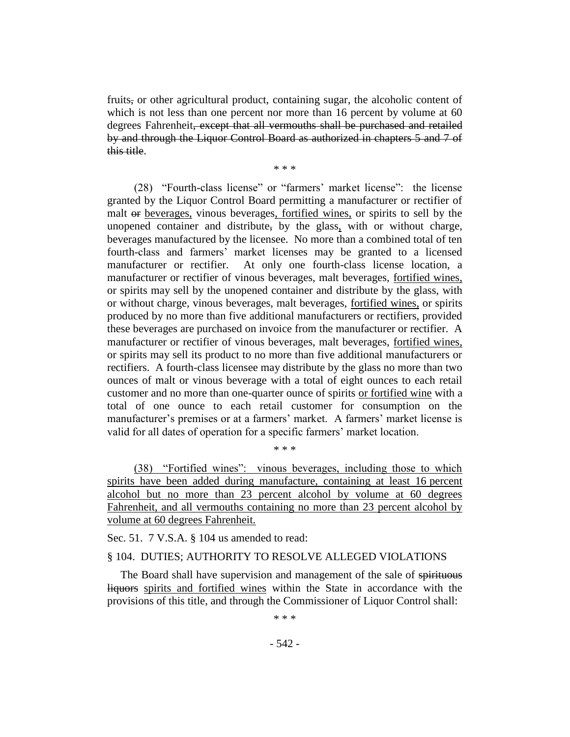fruits, or other agricultural product, containing sugar, the alcoholic content of which is not less than one percent nor more than 16 percent by volume at 60 degrees Fahrenheit, except that all vermouths shall be purchased and retailed by and through the Liquor Control Board as authorized in chapters 5 and 7 of this title.

\* \* \*

(28) "Fourth-class license" or "farmers' market license": the license granted by the Liquor Control Board permitting a manufacturer or rectifier of malt or beverages, vinous beverages, fortified wines, or spirits to sell by the unopened container and distribute, by the glass, with or without charge, beverages manufactured by the licensee. No more than a combined total of ten fourth-class and farmers' market licenses may be granted to a licensed manufacturer or rectifier. At only one fourth-class license location, a manufacturer or rectifier of vinous beverages, malt beverages, fortified wines, or spirits may sell by the unopened container and distribute by the glass, with or without charge, vinous beverages, malt beverages, fortified wines, or spirits produced by no more than five additional manufacturers or rectifiers, provided these beverages are purchased on invoice from the manufacturer or rectifier. A manufacturer or rectifier of vinous beverages, malt beverages, fortified wines, or spirits may sell its product to no more than five additional manufacturers or rectifiers. A fourth-class licensee may distribute by the glass no more than two ounces of malt or vinous beverage with a total of eight ounces to each retail customer and no more than one-quarter ounce of spirits or fortified wine with a total of one ounce to each retail customer for consumption on the manufacturer's premises or at a farmers' market. A farmers' market license is valid for all dates of operation for a specific farmers' market location.

(38) "Fortified wines": vinous beverages, including those to which spirits have been added during manufacture, containing at least 16 percent alcohol but no more than 23 percent alcohol by volume at 60 degrees Fahrenheit, and all vermouths containing no more than 23 percent alcohol by volume at 60 degrees Fahrenheit.

\* \* \*

Sec. 51. 7 V.S.A. § 104 us amended to read:

## § 104. DUTIES; AUTHORITY TO RESOLVE ALLEGED VIOLATIONS

The Board shall have supervision and management of the sale of spirituous liquors spirits and fortified wines within the State in accordance with the provisions of this title, and through the Commissioner of Liquor Control shall:

\* \* \*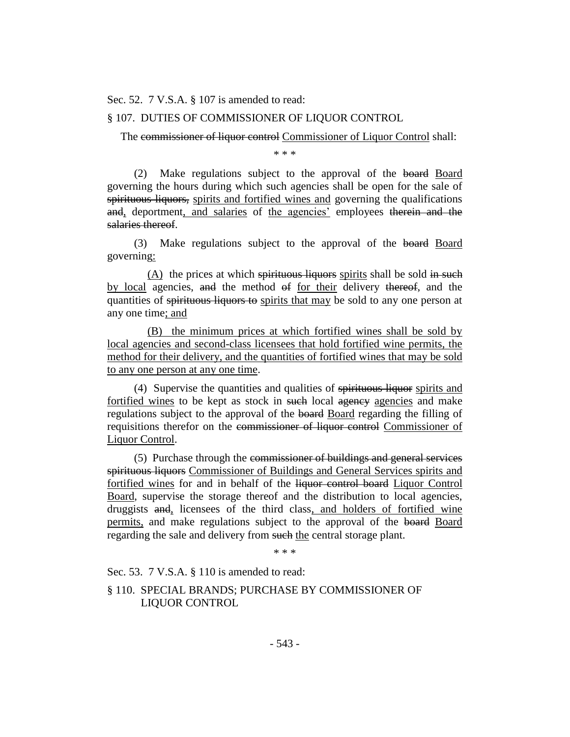Sec. 52. 7 V.S.A. § 107 is amended to read:

# § 107. DUTIES OF COMMISSIONER OF LIQUOR CONTROL

The commissioner of liquor control Commissioner of Liquor Control shall:

\* \* \*

(2) Make regulations subject to the approval of the board Board governing the hours during which such agencies shall be open for the sale of spirituous liquors, spirits and fortified wines and governing the qualifications and, deportment, and salaries of the agencies' employees therein and the salaries thereof.

(3) Make regulations subject to the approval of the board Board governing:

 $(A)$  the prices at which spirituous liquors spirits shall be sold in such by local agencies, and the method of for their delivery thereof, and the quantities of spirituous liquors to spirits that may be sold to any one person at any one time; and

(B) the minimum prices at which fortified wines shall be sold by local agencies and second-class licensees that hold fortified wine permits, the method for their delivery, and the quantities of fortified wines that may be sold to any one person at any one time.

(4) Supervise the quantities and qualities of spirituous liquor spirits and fortified wines to be kept as stock in such local agency agencies and make regulations subject to the approval of the board Board regarding the filling of requisitions therefor on the commissioner of liquor control Commissioner of Liquor Control.

(5) Purchase through the commissioner of buildings and general services spirituous liquors Commissioner of Buildings and General Services spirits and fortified wines for and in behalf of the liquor control board Liquor Control Board, supervise the storage thereof and the distribution to local agencies, druggists and, licensees of the third class, and holders of fortified wine permits, and make regulations subject to the approval of the board Board regarding the sale and delivery from such the central storage plant.

\* \* \*

Sec. 53. 7 V.S.A. § 110 is amended to read:

§ 110. SPECIAL BRANDS; PURCHASE BY COMMISSIONER OF LIQUOR CONTROL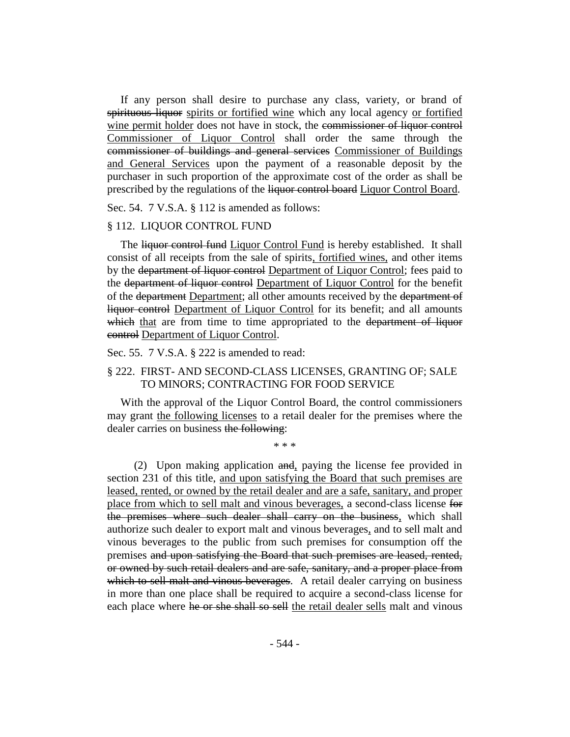If any person shall desire to purchase any class, variety, or brand of spirituous liquor spirits or fortified wine which any local agency or fortified wine permit holder does not have in stock, the commissioner of liquor control Commissioner of Liquor Control shall order the same through the commissioner of buildings and general services Commissioner of Buildings and General Services upon the payment of a reasonable deposit by the purchaser in such proportion of the approximate cost of the order as shall be prescribed by the regulations of the liquor control board Liquor Control Board.

Sec. 54. 7 V.S.A. § 112 is amended as follows:

#### § 112. LIQUOR CONTROL FUND

The liquor control fund Liquor Control Fund is hereby established. It shall consist of all receipts from the sale of spirits, fortified wines, and other items by the department of liquor control Department of Liquor Control; fees paid to the department of liquor control Department of Liquor Control for the benefit of the <del>department</del> Department; all other amounts received by the department of liquor control Department of Liquor Control for its benefit; and all amounts which that are from time to time appropriated to the department of liquor control Department of Liquor Control.

Sec. 55. 7 V.S.A. § 222 is amended to read:

## § 222. FIRST- AND SECOND-CLASS LICENSES, GRANTING OF; SALE TO MINORS; CONTRACTING FOR FOOD SERVICE

With the approval of the Liquor Control Board, the control commissioners may grant the following licenses to a retail dealer for the premises where the dealer carries on business the following:

\* \* \*

(2) Upon making application and, paying the license fee provided in section 231 of this title, and upon satisfying the Board that such premises are leased, rented, or owned by the retail dealer and are a safe, sanitary, and proper place from which to sell malt and vinous beverages, a second-class license for the premises where such dealer shall carry on the business, which shall authorize such dealer to export malt and vinous beverages, and to sell malt and vinous beverages to the public from such premises for consumption off the premises and upon satisfying the Board that such premises are leased, rented, or owned by such retail dealers and are safe, sanitary, and a proper place from which to sell malt and vinous beverages. A retail dealer carrying on business in more than one place shall be required to acquire a second-class license for each place where he or she shall so sell the retail dealer sells malt and vinous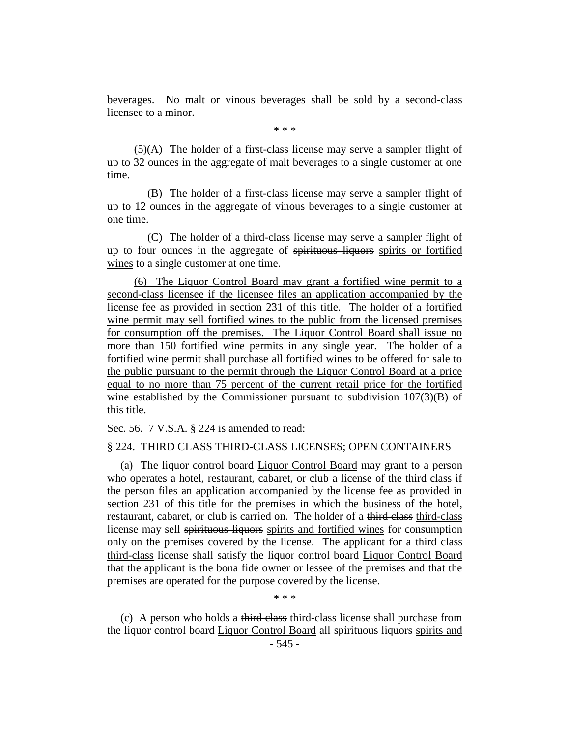beverages. No malt or vinous beverages shall be sold by a second-class licensee to a minor.

\* \* \*

(5)(A) The holder of a first-class license may serve a sampler flight of up to 32 ounces in the aggregate of malt beverages to a single customer at one time.

(B) The holder of a first-class license may serve a sampler flight of up to 12 ounces in the aggregate of vinous beverages to a single customer at one time.

(C) The holder of a third-class license may serve a sampler flight of up to four ounces in the aggregate of spirituous liquors spirits or fortified wines to a single customer at one time.

(6) The Liquor Control Board may grant a fortified wine permit to a second-class licensee if the licensee files an application accompanied by the license fee as provided in section 231 of this title. The holder of a fortified wine permit may sell fortified wines to the public from the licensed premises for consumption off the premises. The Liquor Control Board shall issue no more than 150 fortified wine permits in any single year. The holder of a fortified wine permit shall purchase all fortified wines to be offered for sale to the public pursuant to the permit through the Liquor Control Board at a price equal to no more than 75 percent of the current retail price for the fortified wine established by the Commissioner pursuant to subdivision 107(3)(B) of this title.

Sec. 56. 7 V.S.A. § 224 is amended to read:

## § 224. THIRD CLASS THIRD-CLASS LICENSES; OPEN CONTAINERS

(a) The liquor control board Liquor Control Board may grant to a person who operates a hotel, restaurant, cabaret, or club a license of the third class if the person files an application accompanied by the license fee as provided in section 231 of this title for the premises in which the business of the hotel, restaurant, cabaret, or club is carried on. The holder of a third class third-class license may sell spirituous liquors spirits and fortified wines for consumption only on the premises covered by the license. The applicant for a third class third-class license shall satisfy the liquor control board Liquor Control Board that the applicant is the bona fide owner or lessee of the premises and that the premises are operated for the purpose covered by the license.

\* \* \*

(c) A person who holds a third class third-class license shall purchase from the liquor control board Liquor Control Board all spirituous liquors spirits and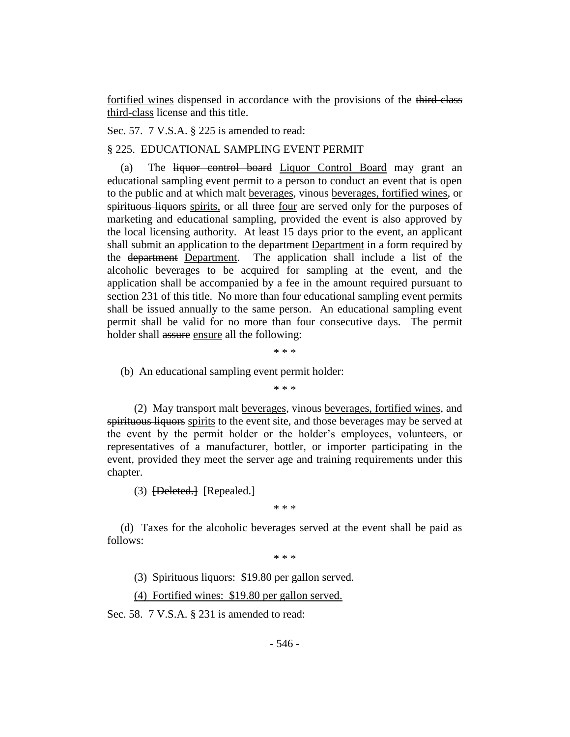fortified wines dispensed in accordance with the provisions of the third class third-class license and this title.

Sec. 57. 7 V.S.A. § 225 is amended to read:

#### § 225. EDUCATIONAL SAMPLING EVENT PERMIT

(a) The liquor control board Liquor Control Board may grant an educational sampling event permit to a person to conduct an event that is open to the public and at which malt beverages, vinous beverages, fortified wines, or spirituous liquors spirits, or all three four are served only for the purposes of marketing and educational sampling, provided the event is also approved by the local licensing authority. At least 15 days prior to the event, an applicant shall submit an application to the department Department in a form required by the department Department. The application shall include a list of the alcoholic beverages to be acquired for sampling at the event, and the application shall be accompanied by a fee in the amount required pursuant to section 231 of this title. No more than four educational sampling event permits shall be issued annually to the same person. An educational sampling event permit shall be valid for no more than four consecutive days. The permit holder shall assure ensure all the following:

\* \* \*

(b) An educational sampling event permit holder:

\* \* \*

(2) May transport malt beverages, vinous beverages, fortified wines, and spirituous liquors spirits to the event site, and those beverages may be served at the event by the permit holder or the holder's employees, volunteers, or representatives of a manufacturer, bottler, or importer participating in the event, provided they meet the server age and training requirements under this chapter.

(3) **[Deleted.]** [Repealed.]

\* \* \*

(d) Taxes for the alcoholic beverages served at the event shall be paid as follows:

\* \* \*

(3) Spirituous liquors: \$19.80 per gallon served.

(4) Fortified wines: \$19.80 per gallon served.

Sec. 58. 7 V.S.A. § 231 is amended to read: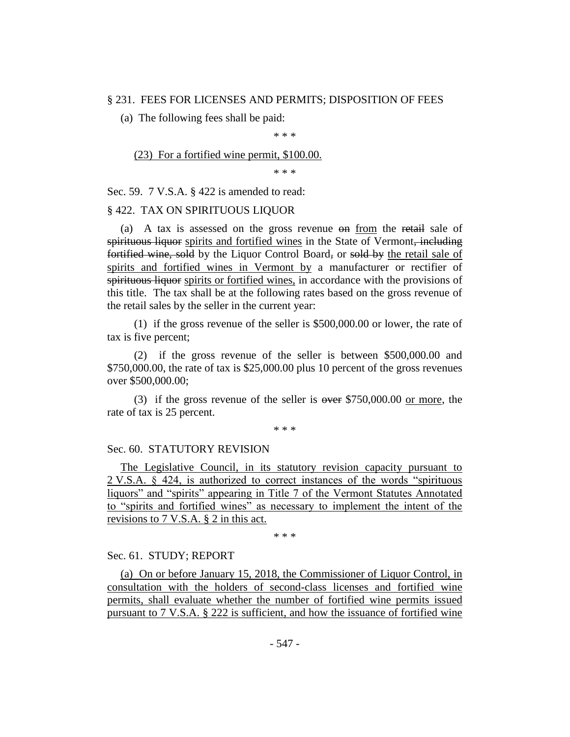## § 231. FEES FOR LICENSES AND PERMITS; DISPOSITION OF FEES

(a) The following fees shall be paid:

\* \* \*

(23) For a fortified wine permit, \$100.00.

\* \* \*

Sec. 59. 7 V.S.A. § 422 is amended to read:

## § 422. TAX ON SPIRITUOUS LIQUOR

(a) A tax is assessed on the gross revenue on from the retail sale of spirituous liquor spirits and fortified wines in the State of Vermont, including fortified wine, sold by the Liquor Control Board, or sold by the retail sale of spirits and fortified wines in Vermont by a manufacturer or rectifier of spirituous liquor spirits or fortified wines, in accordance with the provisions of this title. The tax shall be at the following rates based on the gross revenue of the retail sales by the seller in the current year:

(1) if the gross revenue of the seller is \$500,000.00 or lower, the rate of tax is five percent;

(2) if the gross revenue of the seller is between \$500,000.00 and \$750,000.00, the rate of tax is \$25,000.00 plus 10 percent of the gross revenues over \$500,000.00;

(3) if the gross revenue of the seller is  $\omega$  are \$750,000.00 or more, the rate of tax is 25 percent.

\* \* \*

## Sec. 60. STATUTORY REVISION

The Legislative Council, in its statutory revision capacity pursuant to 2 V.S.A. § 424, is authorized to correct instances of the words "spirituous liquors" and "spirits" appearing in Title 7 of the Vermont Statutes Annotated to "spirits and fortified wines" as necessary to implement the intent of the revisions to 7 V.S.A. § 2 in this act.

\* \* \*

## Sec. 61. STUDY; REPORT

(a) On or before January 15, 2018, the Commissioner of Liquor Control, in consultation with the holders of second-class licenses and fortified wine permits, shall evaluate whether the number of fortified wine permits issued pursuant to 7 V.S.A. § 222 is sufficient, and how the issuance of fortified wine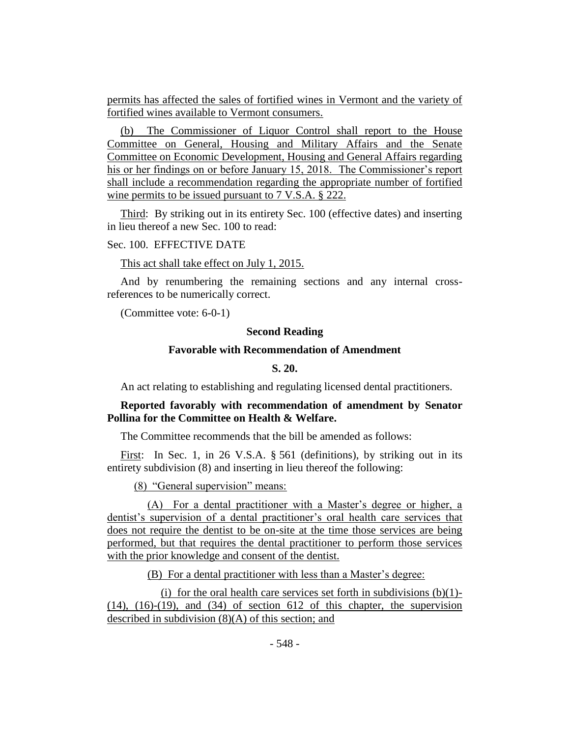permits has affected the sales of fortified wines in Vermont and the variety of fortified wines available to Vermont consumers.

(b) The Commissioner of Liquor Control shall report to the House Committee on General, Housing and Military Affairs and the Senate Committee on Economic Development, Housing and General Affairs regarding his or her findings on or before January 15, 2018. The Commissioner's report shall include a recommendation regarding the appropriate number of fortified wine permits to be issued pursuant to 7 V.S.A. § 222.

Third: By striking out in its entirety Sec. 100 (effective dates) and inserting in lieu thereof a new Sec. 100 to read:

# Sec. 100. EFFECTIVE DATE

## This act shall take effect on July 1, 2015.

And by renumbering the remaining sections and any internal crossreferences to be numerically correct.

(Committee vote: 6-0-1)

## **Second Reading**

## **Favorable with Recommendation of Amendment**

**S. 20.**

An act relating to establishing and regulating licensed dental practitioners.

# **Reported favorably with recommendation of amendment by Senator Pollina for the Committee on Health & Welfare.**

The Committee recommends that the bill be amended as follows:

First: In Sec. 1, in 26 V.S.A. § 561 (definitions), by striking out in its entirety subdivision (8) and inserting in lieu thereof the following:

(8) "General supervision" means:

(A) For a dental practitioner with a Master's degree or higher, a dentist's supervision of a dental practitioner's oral health care services that does not require the dentist to be on-site at the time those services are being performed, but that requires the dental practitioner to perform those services with the prior knowledge and consent of the dentist.

(B) For a dental practitioner with less than a Master's degree:

(i) for the oral health care services set forth in subdivisions  $(b)(1)$ - $(14)$ ,  $(16)-(19)$ , and  $(34)$  of section 612 of this chapter, the supervision described in subdivision (8)(A) of this section; and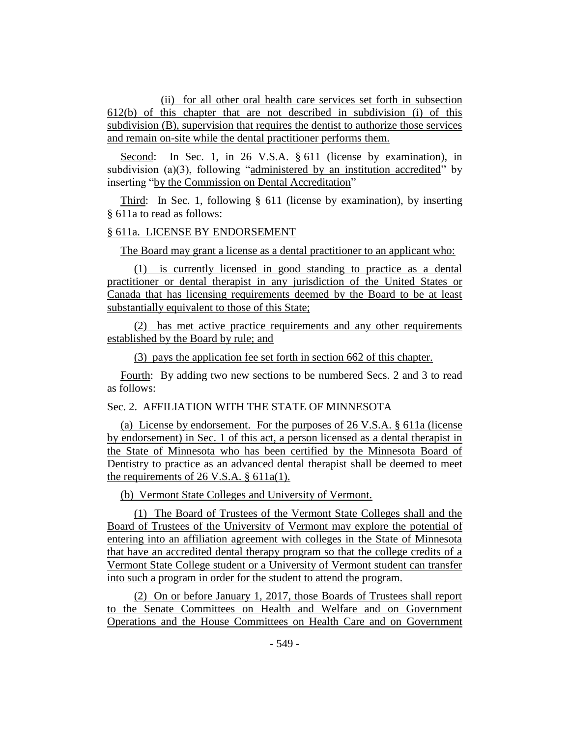(ii) for all other oral health care services set forth in subsection 612(b) of this chapter that are not described in subdivision (i) of this subdivision (B), supervision that requires the dentist to authorize those services and remain on-site while the dental practitioner performs them.

Second: In Sec. 1, in 26 V.S.A. § 611 (license by examination), in subdivision (a)(3), following "administered by an institution accredited" by inserting "by the Commission on Dental Accreditation"

Third: In Sec. 1, following § 611 (license by examination), by inserting § 611a to read as follows:

## § 611a. LICENSE BY ENDORSEMENT

The Board may grant a license as a dental practitioner to an applicant who:

(1) is currently licensed in good standing to practice as a dental practitioner or dental therapist in any jurisdiction of the United States or Canada that has licensing requirements deemed by the Board to be at least substantially equivalent to those of this State;

(2) has met active practice requirements and any other requirements established by the Board by rule; and

(3) pays the application fee set forth in section 662 of this chapter.

Fourth: By adding two new sections to be numbered Secs. 2 and 3 to read as follows:

# Sec. 2. AFFILIATION WITH THE STATE OF MINNESOTA

(a) License by endorsement. For the purposes of 26 V.S.A. § 611a (license by endorsement) in Sec. 1 of this act, a person licensed as a dental therapist in the State of Minnesota who has been certified by the Minnesota Board of Dentistry to practice as an advanced dental therapist shall be deemed to meet the requirements of 26 V.S.A. § 611a(1).

(b) Vermont State Colleges and University of Vermont.

(1) The Board of Trustees of the Vermont State Colleges shall and the Board of Trustees of the University of Vermont may explore the potential of entering into an affiliation agreement with colleges in the State of Minnesota that have an accredited dental therapy program so that the college credits of a Vermont State College student or a University of Vermont student can transfer into such a program in order for the student to attend the program.

(2) On or before January 1, 2017, those Boards of Trustees shall report to the Senate Committees on Health and Welfare and on Government Operations and the House Committees on Health Care and on Government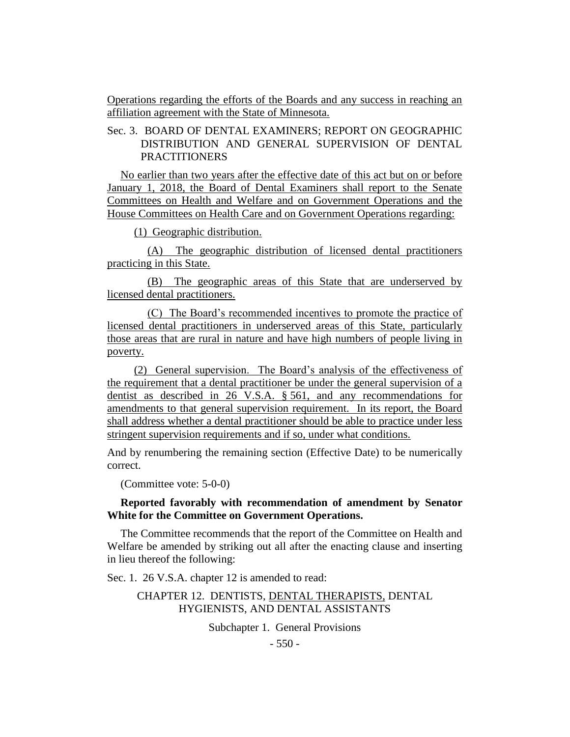Operations regarding the efforts of the Boards and any success in reaching an affiliation agreement with the State of Minnesota.

# Sec. 3. BOARD OF DENTAL EXAMINERS; REPORT ON GEOGRAPHIC DISTRIBUTION AND GENERAL SUPERVISION OF DENTAL PRACTITIONERS

No earlier than two years after the effective date of this act but on or before January 1, 2018, the Board of Dental Examiners shall report to the Senate Committees on Health and Welfare and on Government Operations and the House Committees on Health Care and on Government Operations regarding:

(1) Geographic distribution.

(A) The geographic distribution of licensed dental practitioners practicing in this State.

(B) The geographic areas of this State that are underserved by licensed dental practitioners.

(C) The Board's recommended incentives to promote the practice of licensed dental practitioners in underserved areas of this State, particularly those areas that are rural in nature and have high numbers of people living in poverty.

(2) General supervision. The Board's analysis of the effectiveness of the requirement that a dental practitioner be under the general supervision of a dentist as described in 26 V.S.A. § 561, and any recommendations for amendments to that general supervision requirement. In its report, the Board shall address whether a dental practitioner should be able to practice under less stringent supervision requirements and if so, under what conditions.

And by renumbering the remaining section (Effective Date) to be numerically correct.

(Committee vote: 5-0-0)

# **Reported favorably with recommendation of amendment by Senator White for the Committee on Government Operations.**

The Committee recommends that the report of the Committee on Health and Welfare be amended by striking out all after the enacting clause and inserting in lieu thereof the following:

Sec. 1. 26 V.S.A. chapter 12 is amended to read:

# CHAPTER 12. DENTISTS, DENTAL THERAPISTS, DENTAL HYGIENISTS, AND DENTAL ASSISTANTS

Subchapter 1. General Provisions

 $-550 -$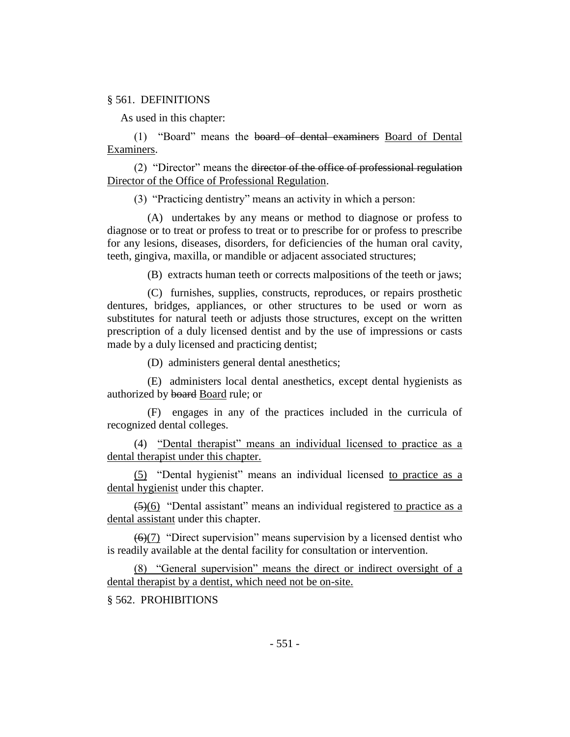## § 561. DEFINITIONS

As used in this chapter:

(1) "Board" means the board of dental examiners Board of Dental Examiners.

(2) "Director" means the director of the office of professional regulation Director of the Office of Professional Regulation.

(3) "Practicing dentistry" means an activity in which a person:

(A) undertakes by any means or method to diagnose or profess to diagnose or to treat or profess to treat or to prescribe for or profess to prescribe for any lesions, diseases, disorders, for deficiencies of the human oral cavity, teeth, gingiva, maxilla, or mandible or adjacent associated structures;

(B) extracts human teeth or corrects malpositions of the teeth or jaws;

(C) furnishes, supplies, constructs, reproduces, or repairs prosthetic dentures, bridges, appliances, or other structures to be used or worn as substitutes for natural teeth or adjusts those structures, except on the written prescription of a duly licensed dentist and by the use of impressions or casts made by a duly licensed and practicing dentist;

(D) administers general dental anesthetics;

(E) administers local dental anesthetics, except dental hygienists as authorized by board Board rule; or

(F) engages in any of the practices included in the curricula of recognized dental colleges.

(4) "Dental therapist" means an individual licensed to practice as a dental therapist under this chapter.

(5) "Dental hygienist" means an individual licensed to practice as a dental hygienist under this chapter.

 $(5)(6)$  "Dental assistant" means an individual registered to practice as a dental assistant under this chapter.

 $(6)(7)$  "Direct supervision" means supervision by a licensed dentist who is readily available at the dental facility for consultation or intervention.

(8) "General supervision" means the direct or indirect oversight of a dental therapist by a dentist, which need not be on-site.

§ 562. PROHIBITIONS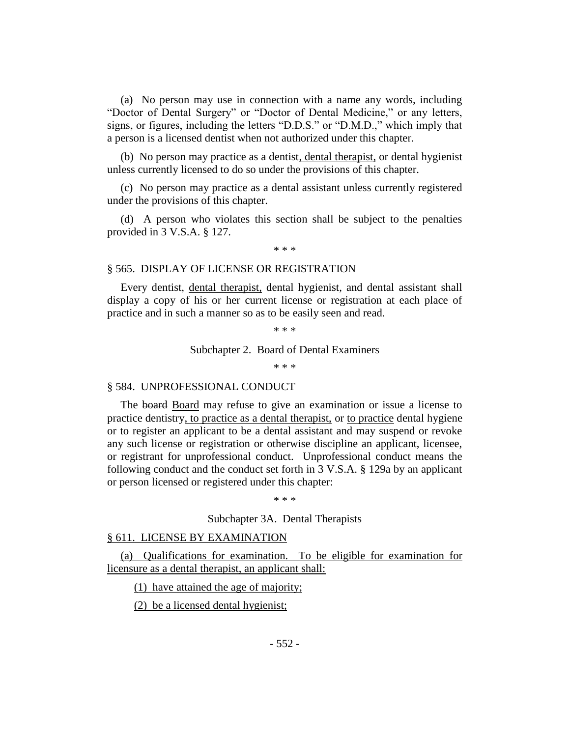(a) No person may use in connection with a name any words, including "Doctor of Dental Surgery" or "Doctor of Dental Medicine," or any letters, signs, or figures, including the letters "D.D.S." or "D.M.D.," which imply that a person is a licensed dentist when not authorized under this chapter.

(b) No person may practice as a dentist, dental therapist, or dental hygienist unless currently licensed to do so under the provisions of this chapter.

(c) No person may practice as a dental assistant unless currently registered under the provisions of this chapter.

(d) A person who violates this section shall be subject to the penalties provided in 3 V.S.A. § 127.

\* \* \*

## § 565. DISPLAY OF LICENSE OR REGISTRATION

Every dentist, dental therapist, dental hygienist, and dental assistant shall display a copy of his or her current license or registration at each place of practice and in such a manner so as to be easily seen and read.

\* \* \*

#### Subchapter 2. Board of Dental Examiners

\* \* \*

## § 584. UNPROFESSIONAL CONDUCT

The board Board may refuse to give an examination or issue a license to practice dentistry, to practice as a dental therapist, or to practice dental hygiene or to register an applicant to be a dental assistant and may suspend or revoke any such license or registration or otherwise discipline an applicant, licensee, or registrant for unprofessional conduct. Unprofessional conduct means the following conduct and the conduct set forth in 3 V.S.A. § 129a by an applicant or person licensed or registered under this chapter:

\* \* \*

## Subchapter 3A. Dental Therapists

## § 611. LICENSE BY EXAMINATION

(a) Qualifications for examination. To be eligible for examination for licensure as a dental therapist, an applicant shall:

(1) have attained the age of majority;

(2) be a licensed dental hygienist;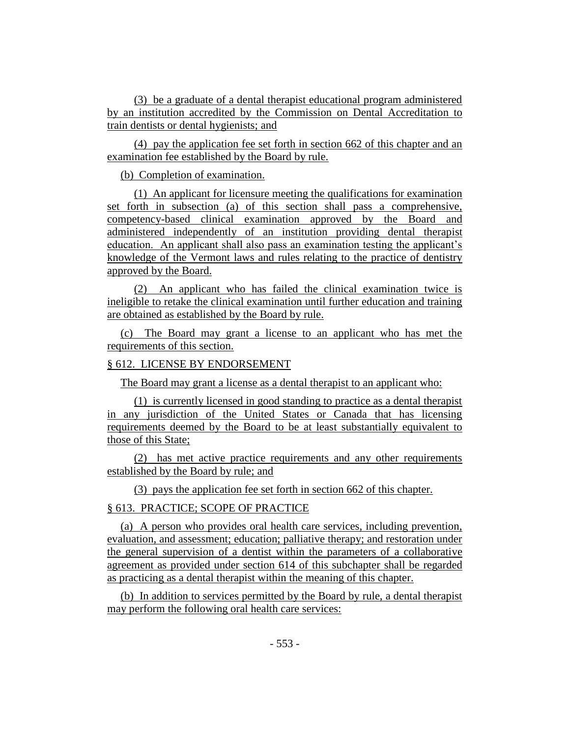(3) be a graduate of a dental therapist educational program administered by an institution accredited by the Commission on Dental Accreditation to train dentists or dental hygienists; and

(4) pay the application fee set forth in section 662 of this chapter and an examination fee established by the Board by rule.

(b) Completion of examination.

(1) An applicant for licensure meeting the qualifications for examination set forth in subsection (a) of this section shall pass a comprehensive, competency-based clinical examination approved by the Board and administered independently of an institution providing dental therapist education. An applicant shall also pass an examination testing the applicant's knowledge of the Vermont laws and rules relating to the practice of dentistry approved by the Board.

(2) An applicant who has failed the clinical examination twice is ineligible to retake the clinical examination until further education and training are obtained as established by the Board by rule.

(c) The Board may grant a license to an applicant who has met the requirements of this section.

## § 612. LICENSE BY ENDORSEMENT

The Board may grant a license as a dental therapist to an applicant who:

(1) is currently licensed in good standing to practice as a dental therapist in any jurisdiction of the United States or Canada that has licensing requirements deemed by the Board to be at least substantially equivalent to those of this State;

(2) has met active practice requirements and any other requirements established by the Board by rule; and

(3) pays the application fee set forth in section 662 of this chapter.

# § 613. PRACTICE; SCOPE OF PRACTICE

(a) A person who provides oral health care services, including prevention, evaluation, and assessment; education; palliative therapy; and restoration under the general supervision of a dentist within the parameters of a collaborative agreement as provided under section 614 of this subchapter shall be regarded as practicing as a dental therapist within the meaning of this chapter.

(b) In addition to services permitted by the Board by rule, a dental therapist may perform the following oral health care services: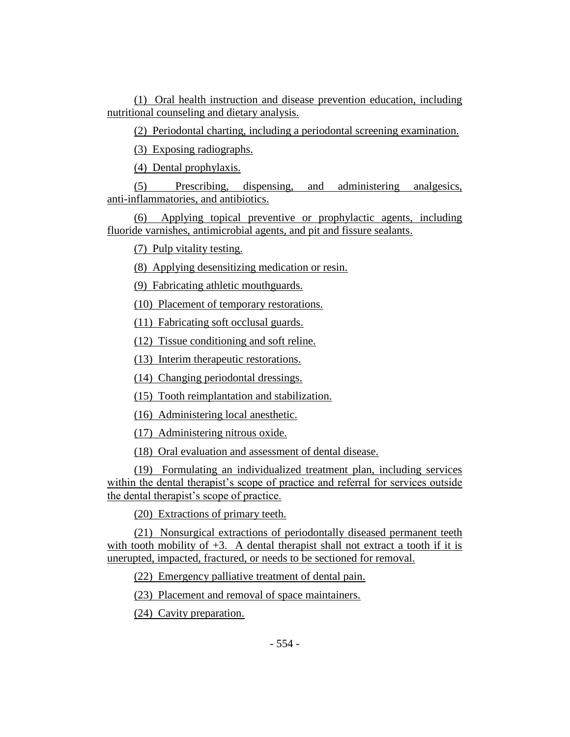(1) Oral health instruction and disease prevention education, including nutritional counseling and dietary analysis.

(2) Periodontal charting, including a periodontal screening examination.

(3) Exposing radiographs.

(4) Dental prophylaxis.

(5) Prescribing, dispensing, and administering analgesics, anti-inflammatories, and antibiotics.

(6) Applying topical preventive or prophylactic agents, including fluoride varnishes, antimicrobial agents, and pit and fissure sealants.

(7) Pulp vitality testing.

(8) Applying desensitizing medication or resin.

(9) Fabricating athletic mouthguards.

(10) Placement of temporary restorations.

(11) Fabricating soft occlusal guards.

(12) Tissue conditioning and soft reline.

(13) Interim therapeutic restorations.

(14) Changing periodontal dressings.

(15) Tooth reimplantation and stabilization.

(16) Administering local anesthetic.

(17) Administering nitrous oxide.

(18) Oral evaluation and assessment of dental disease.

(19) Formulating an individualized treatment plan, including services within the dental therapist's scope of practice and referral for services outside the dental therapist's scope of practice.

(20) Extractions of primary teeth.

(21) Nonsurgical extractions of periodontally diseased permanent teeth with tooth mobility of  $+3$ . A dental therapist shall not extract a tooth if it is unerupted, impacted, fractured, or needs to be sectioned for removal.

(22) Emergency palliative treatment of dental pain.

(23) Placement and removal of space maintainers.

(24) Cavity preparation.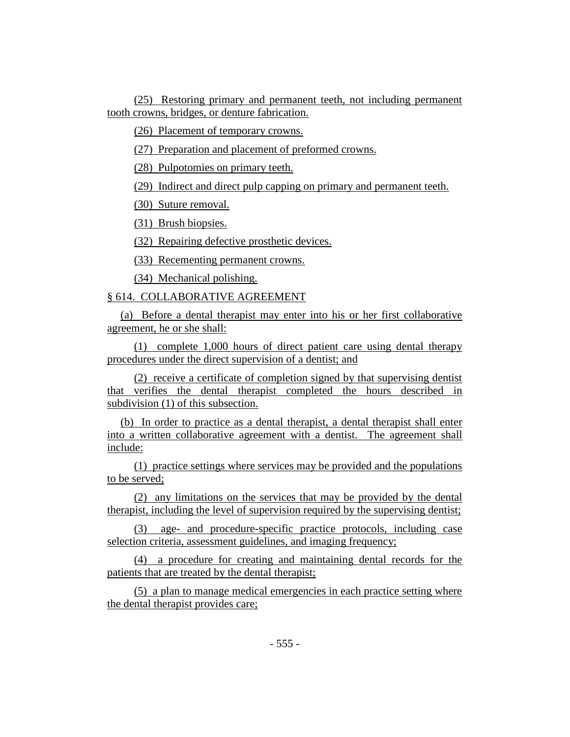(25) Restoring primary and permanent teeth, not including permanent tooth crowns, bridges, or denture fabrication.

(26) Placement of temporary crowns.

(27) Preparation and placement of preformed crowns.

(28) Pulpotomies on primary teeth.

(29) Indirect and direct pulp capping on primary and permanent teeth.

(30) Suture removal.

(31) Brush biopsies.

(32) Repairing defective prosthetic devices.

(33) Recementing permanent crowns.

(34) Mechanical polishing.

## § 614. COLLABORATIVE AGREEMENT

(a) Before a dental therapist may enter into his or her first collaborative agreement, he or she shall:

(1) complete 1,000 hours of direct patient care using dental therapy procedures under the direct supervision of a dentist; and

(2) receive a certificate of completion signed by that supervising dentist that verifies the dental therapist completed the hours described in subdivision (1) of this subsection.

(b) In order to practice as a dental therapist, a dental therapist shall enter into a written collaborative agreement with a dentist. The agreement shall include:

(1) practice settings where services may be provided and the populations to be served;

(2) any limitations on the services that may be provided by the dental therapist, including the level of supervision required by the supervising dentist;

(3) age- and procedure-specific practice protocols, including case selection criteria, assessment guidelines, and imaging frequency;

(4) a procedure for creating and maintaining dental records for the patients that are treated by the dental therapist;

(5) a plan to manage medical emergencies in each practice setting where the dental therapist provides care;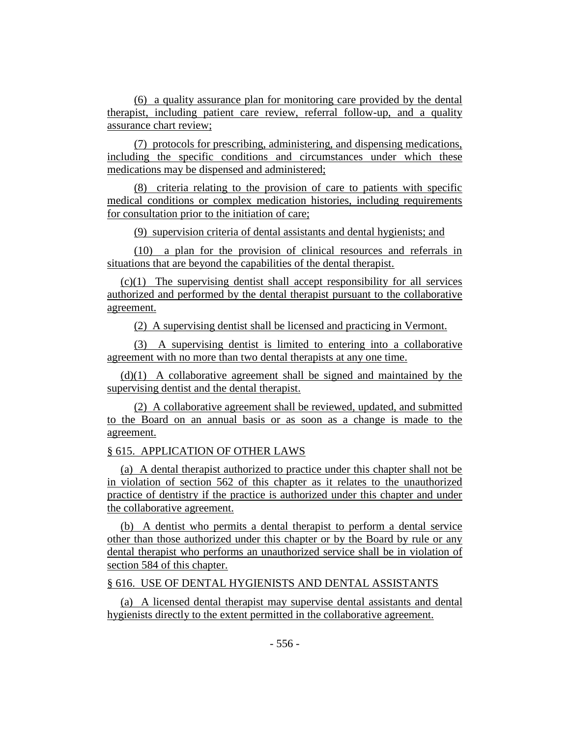(6) a quality assurance plan for monitoring care provided by the dental therapist, including patient care review, referral follow-up, and a quality assurance chart review;

(7) protocols for prescribing, administering, and dispensing medications, including the specific conditions and circumstances under which these medications may be dispensed and administered;

(8) criteria relating to the provision of care to patients with specific medical conditions or complex medication histories, including requirements for consultation prior to the initiation of care;

(9) supervision criteria of dental assistants and dental hygienists; and

(10) a plan for the provision of clinical resources and referrals in situations that are beyond the capabilities of the dental therapist.

(c)(1) The supervising dentist shall accept responsibility for all services authorized and performed by the dental therapist pursuant to the collaborative agreement.

(2) A supervising dentist shall be licensed and practicing in Vermont.

(3) A supervising dentist is limited to entering into a collaborative agreement with no more than two dental therapists at any one time.

(d)(1) A collaborative agreement shall be signed and maintained by the supervising dentist and the dental therapist.

(2) A collaborative agreement shall be reviewed, updated, and submitted to the Board on an annual basis or as soon as a change is made to the agreement.

## § 615. APPLICATION OF OTHER LAWS

(a) A dental therapist authorized to practice under this chapter shall not be in violation of section 562 of this chapter as it relates to the unauthorized practice of dentistry if the practice is authorized under this chapter and under the collaborative agreement.

(b) A dentist who permits a dental therapist to perform a dental service other than those authorized under this chapter or by the Board by rule or any dental therapist who performs an unauthorized service shall be in violation of section 584 of this chapter.

§ 616. USE OF DENTAL HYGIENISTS AND DENTAL ASSISTANTS

(a) A licensed dental therapist may supervise dental assistants and dental hygienists directly to the extent permitted in the collaborative agreement.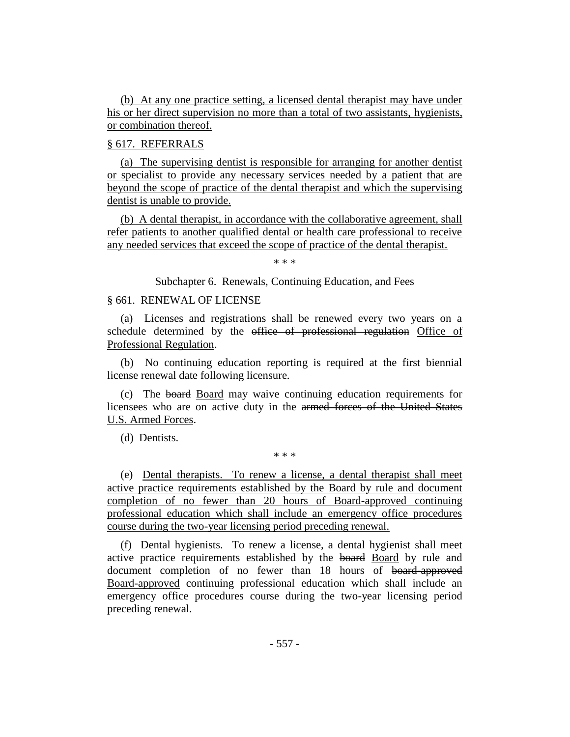(b) At any one practice setting, a licensed dental therapist may have under his or her direct supervision no more than a total of two assistants, hygienists, or combination thereof.

# § 617. REFERRALS

(a) The supervising dentist is responsible for arranging for another dentist or specialist to provide any necessary services needed by a patient that are beyond the scope of practice of the dental therapist and which the supervising dentist is unable to provide.

(b) A dental therapist, in accordance with the collaborative agreement, shall refer patients to another qualified dental or health care professional to receive any needed services that exceed the scope of practice of the dental therapist.

\* \* \*

Subchapter 6. Renewals, Continuing Education, and Fees

## § 661. RENEWAL OF LICENSE

(a) Licenses and registrations shall be renewed every two years on a schedule determined by the office of professional regulation Office of Professional Regulation.

(b) No continuing education reporting is required at the first biennial license renewal date following licensure.

(c) The board Board may waive continuing education requirements for licensees who are on active duty in the armed forces of the United States U.S. Armed Forces.

(d) Dentists.

\* \* \*

(e) Dental therapists. To renew a license, a dental therapist shall meet active practice requirements established by the Board by rule and document completion of no fewer than 20 hours of Board-approved continuing professional education which shall include an emergency office procedures course during the two-year licensing period preceding renewal.

(f) Dental hygienists. To renew a license, a dental hygienist shall meet active practice requirements established by the board Board by rule and document completion of no fewer than 18 hours of board-approved Board-approved continuing professional education which shall include an emergency office procedures course during the two-year licensing period preceding renewal.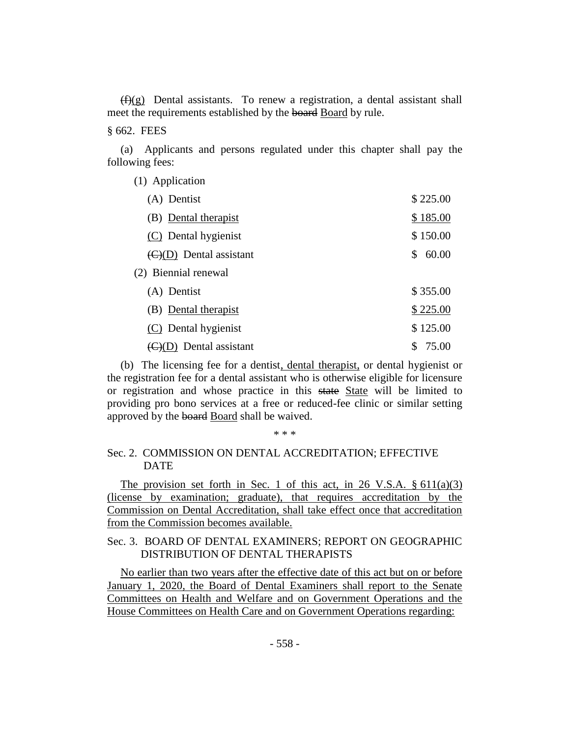$(f)(g)$  Dental assistants. To renew a registration, a dental assistant shall meet the requirements established by the board Board by rule.

§ 662. FEES

(a) Applicants and persons regulated under this chapter shall pay the following fees:

| (1) Application                             |             |
|---------------------------------------------|-------------|
| (A) Dentist                                 | \$225.00    |
| (B) Dental therapist                        | \$185.00    |
| (C) Dental hygienist                        | \$150.00    |
| $\left(\frac{C}{D}\right)$ Dental assistant | 60.00<br>\$ |
| (2) Biennial renewal                        |             |
| (A) Dentist                                 | \$355.00    |
| (B) Dental therapist                        | \$225.00    |
| (C) Dental hygienist                        | \$125.00    |
| (D) Dental assistant                        | \$<br>75.00 |

(b) The licensing fee for a dentist, dental therapist, or dental hygienist or the registration fee for a dental assistant who is otherwise eligible for licensure or registration and whose practice in this state State will be limited to providing pro bono services at a free or reduced-fee clinic or similar setting approved by the board Board shall be waived.

\* \* \*

# Sec. 2. COMMISSION ON DENTAL ACCREDITATION; EFFECTIVE DATE

The provision set forth in Sec. 1 of this act, in 26 V.S.A.  $\S 611(a)(3)$ (license by examination; graduate), that requires accreditation by the Commission on Dental Accreditation, shall take effect once that accreditation from the Commission becomes available.

# Sec. 3. BOARD OF DENTAL EXAMINERS; REPORT ON GEOGRAPHIC DISTRIBUTION OF DENTAL THERAPISTS

No earlier than two years after the effective date of this act but on or before January 1, 2020, the Board of Dental Examiners shall report to the Senate Committees on Health and Welfare and on Government Operations and the House Committees on Health Care and on Government Operations regarding: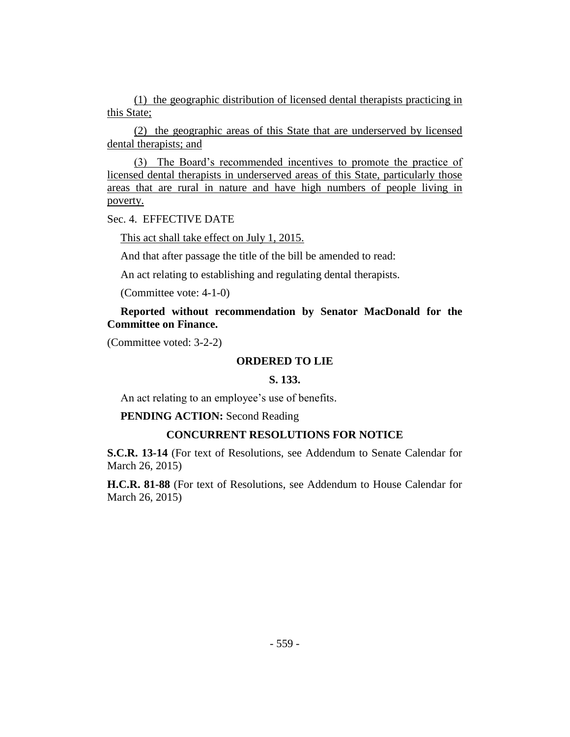(1) the geographic distribution of licensed dental therapists practicing in this State;

(2) the geographic areas of this State that are underserved by licensed dental therapists; and

(3) The Board's recommended incentives to promote the practice of licensed dental therapists in underserved areas of this State, particularly those areas that are rural in nature and have high numbers of people living in poverty.

Sec. 4. EFFECTIVE DATE

This act shall take effect on July 1, 2015.

And that after passage the title of the bill be amended to read:

An act relating to establishing and regulating dental therapists.

(Committee vote: 4-1-0)

**Reported without recommendation by Senator MacDonald for the Committee on Finance.**

(Committee voted: 3-2-2)

## **ORDERED TO LIE**

# **S. 133.**

An act relating to an employee's use of benefits.

#### **PENDING ACTION:** Second Reading

## **CONCURRENT RESOLUTIONS FOR NOTICE**

**S.C.R. 13-14** (For text of Resolutions, see Addendum to Senate Calendar for March 26, 2015)

**H.C.R. 81-88** (For text of Resolutions, see Addendum to House Calendar for March 26, 2015)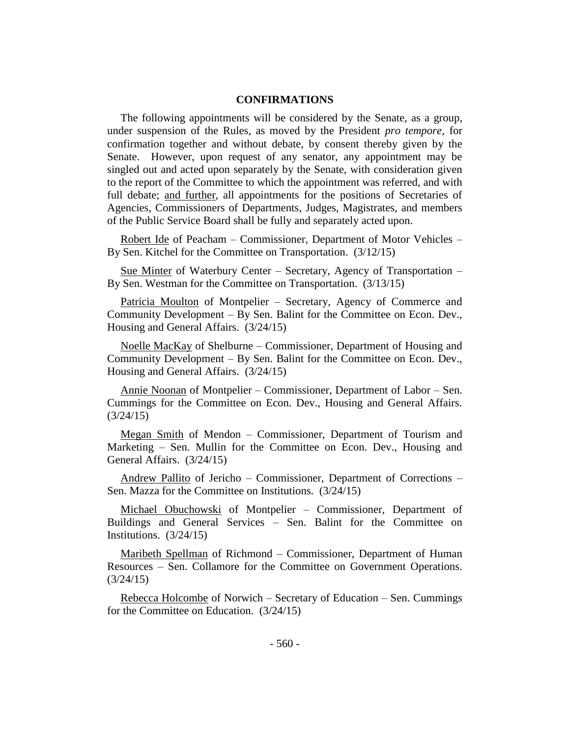## **CONFIRMATIONS**

The following appointments will be considered by the Senate, as a group, under suspension of the Rules, as moved by the President *pro tempore,* for confirmation together and without debate, by consent thereby given by the Senate. However, upon request of any senator, any appointment may be singled out and acted upon separately by the Senate, with consideration given to the report of the Committee to which the appointment was referred, and with full debate; and further, all appointments for the positions of Secretaries of Agencies, Commissioners of Departments, Judges, Magistrates, and members of the Public Service Board shall be fully and separately acted upon.

Robert Ide of Peacham – Commissioner, Department of Motor Vehicles – By Sen. Kitchel for the Committee on Transportation. (3/12/15)

Sue Minter of Waterbury Center – Secretary, Agency of Transportation – By Sen. Westman for the Committee on Transportation. (3/13/15)

Patricia Moulton of Montpelier – Secretary, Agency of Commerce and Community Development – By Sen. Balint for the Committee on Econ. Dev., Housing and General Affairs. (3/24/15)

Noelle MacKay of Shelburne – Commissioner, Department of Housing and Community Development – By Sen. Balint for the Committee on Econ. Dev., Housing and General Affairs. (3/24/15)

Annie Noonan of Montpelier – Commissioner, Department of Labor – Sen. Cummings for the Committee on Econ. Dev., Housing and General Affairs. (3/24/15)

Megan Smith of Mendon – Commissioner, Department of Tourism and Marketing – Sen. Mullin for the Committee on Econ. Dev., Housing and General Affairs. (3/24/15)

Andrew Pallito of Jericho – Commissioner, Department of Corrections – Sen. Mazza for the Committee on Institutions. (3/24/15)

Michael Obuchowski of Montpelier – Commissioner, Department of Buildings and General Services – Sen. Balint for the Committee on Institutions. (3/24/15)

Maribeth Spellman of Richmond – Commissioner, Department of Human Resources – Sen. Collamore for the Committee on Government Operations.  $(3/24/15)$ 

Rebecca Holcombe of Norwich – Secretary of Education – Sen. Cummings for the Committee on Education. (3/24/15)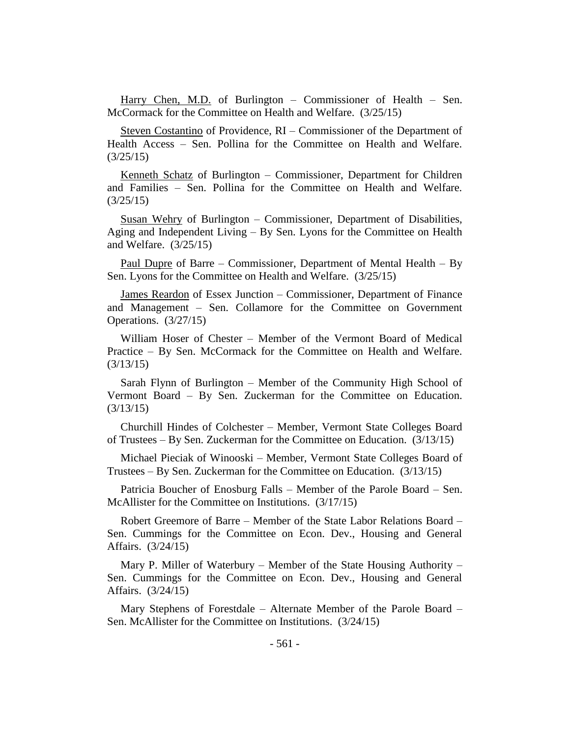Harry Chen, M.D. of Burlington – Commissioner of Health – Sen. McCormack for the Committee on Health and Welfare. (3/25/15)

Steven Costantino of Providence, RI – Commissioner of the Department of Health Access – Sen. Pollina for the Committee on Health and Welfare. (3/25/15)

Kenneth Schatz of Burlington – Commissioner, Department for Children and Families – Sen. Pollina for the Committee on Health and Welfare. (3/25/15)

Susan Wehry of Burlington – Commissioner, Department of Disabilities, Aging and Independent Living – By Sen. Lyons for the Committee on Health and Welfare. (3/25/15)

Paul Dupre of Barre – Commissioner, Department of Mental Health – By Sen. Lyons for the Committee on Health and Welfare. (3/25/15)

James Reardon of Essex Junction – Commissioner, Department of Finance and Management – Sen. Collamore for the Committee on Government Operations. (3/27/15)

William Hoser of Chester – Member of the Vermont Board of Medical Practice – By Sen. McCormack for the Committee on Health and Welfare. (3/13/15)

Sarah Flynn of Burlington – Member of the Community High School of Vermont Board – By Sen. Zuckerman for the Committee on Education. (3/13/15)

Churchill Hindes of Colchester – Member, Vermont State Colleges Board of Trustees – By Sen. Zuckerman for the Committee on Education. (3/13/15)

Michael Pieciak of Winooski – Member, Vermont State Colleges Board of Trustees – By Sen. Zuckerman for the Committee on Education. (3/13/15)

Patricia Boucher of Enosburg Falls – Member of the Parole Board – Sen. McAllister for the Committee on Institutions. (3/17/15)

Robert Greemore of Barre – Member of the State Labor Relations Board – Sen. Cummings for the Committee on Econ. Dev., Housing and General Affairs. (3/24/15)

Mary P. Miller of Waterbury – Member of the State Housing Authority – Sen. Cummings for the Committee on Econ. Dev., Housing and General Affairs. (3/24/15)

Mary Stephens of Forestdale – Alternate Member of the Parole Board – Sen. McAllister for the Committee on Institutions. (3/24/15)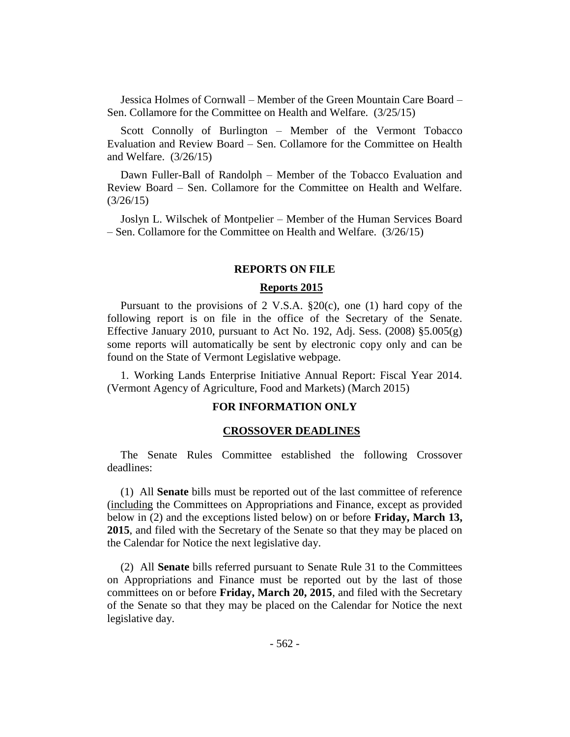Jessica Holmes of Cornwall – Member of the Green Mountain Care Board – Sen. Collamore for the Committee on Health and Welfare. (3/25/15)

Scott Connolly of Burlington – Member of the Vermont Tobacco Evaluation and Review Board – Sen. Collamore for the Committee on Health and Welfare. (3/26/15)

Dawn Fuller-Ball of Randolph – Member of the Tobacco Evaluation and Review Board – Sen. Collamore for the Committee on Health and Welfare. (3/26/15)

Joslyn L. Wilschek of Montpelier – Member of the Human Services Board – Sen. Collamore for the Committee on Health and Welfare. (3/26/15)

#### **REPORTS ON FILE**

#### **Reports 2015**

Pursuant to the provisions of 2 V.S.A. §20(c), one (1) hard copy of the following report is on file in the office of the Secretary of the Senate. Effective January 2010, pursuant to Act No. 192, Adj. Sess. (2008) §5.005(g) some reports will automatically be sent by electronic copy only and can be found on the State of Vermont Legislative webpage.

1. Working Lands Enterprise Initiative Annual Report: Fiscal Year 2014. (Vermont Agency of Agriculture, Food and Markets) (March 2015)

## **FOR INFORMATION ONLY**

#### **CROSSOVER DEADLINES**

The Senate Rules Committee established the following Crossover deadlines:

(1) All **Senate** bills must be reported out of the last committee of reference (including the Committees on Appropriations and Finance, except as provided below in (2) and the exceptions listed below) on or before **Friday, March 13, 2015**, and filed with the Secretary of the Senate so that they may be placed on the Calendar for Notice the next legislative day.

(2) All **Senate** bills referred pursuant to Senate Rule 31 to the Committees on Appropriations and Finance must be reported out by the last of those committees on or before **Friday, March 20, 2015**, and filed with the Secretary of the Senate so that they may be placed on the Calendar for Notice the next legislative day.